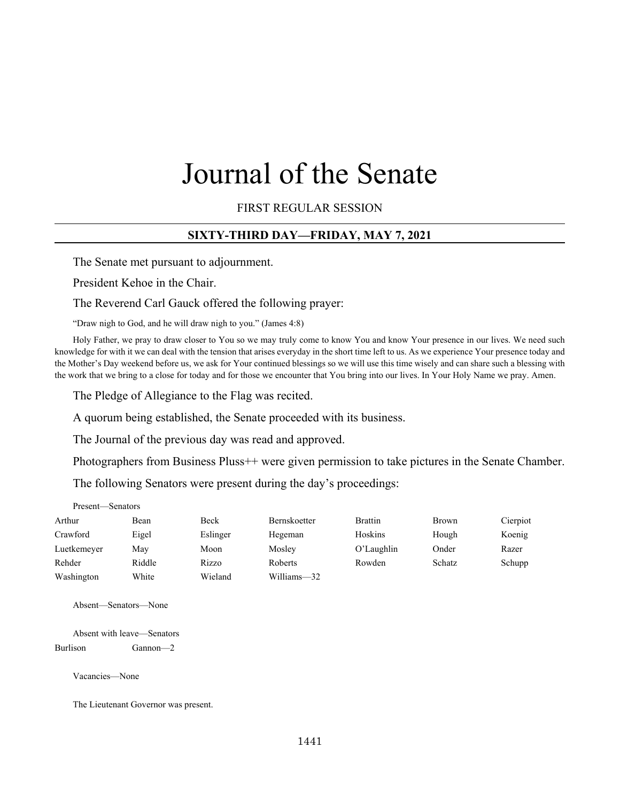# Journal of the Senate

FIRST REGULAR SESSION

#### **SIXTY-THIRD DAY—FRIDAY, MAY 7, 2021**

The Senate met pursuant to adjournment.

President Kehoe in the Chair.

The Reverend Carl Gauck offered the following prayer:

"Draw nigh to God, and he will draw nigh to you." (James 4:8)

Holy Father, we pray to draw closer to You so we may truly come to know You and know Your presence in our lives. We need such knowledge for with it we can deal with the tension that arises everyday in the short time left to us. As we experience Your presence today and the Mother's Day weekend before us, we ask for Your continued blessings so we will use this time wisely and can share such a blessing with the work that we bring to a close for today and for those we encounter that You bring into our lives. In Your Holy Name we pray. Amen.

The Pledge of Allegiance to the Flag was recited.

A quorum being established, the Senate proceeded with its business.

The Journal of the previous day was read and approved.

Photographers from Business Pluss++ were given permission to take pictures in the Senate Chamber.

The following Senators were present during the day's proceedings:

| Present—Senators |        |          |                     |                |        |          |
|------------------|--------|----------|---------------------|----------------|--------|----------|
| Arthur           | Bean   | Beck     | <b>Bernskoetter</b> | <b>Brattin</b> | Brown  | Cierpiot |
| Crawford         | Eigel  | Eslinger | Hegeman             | Hoskins        | Hough  | Koenig   |
| Luetkemeyer      | May    | Moon     | Mosley              | O'Laughlin     | Onder  | Razer    |
| Rehder           | Riddle | Rizzo    | Roberts             | Rowden         | Schatz | Schupp   |
| Washington       | White  | Wieland  | Williams-32         |                |        |          |

Absent—Senators—None

Absent with leave—Senators Burlison Gannon—2

Vacancies—None

The Lieutenant Governor was present.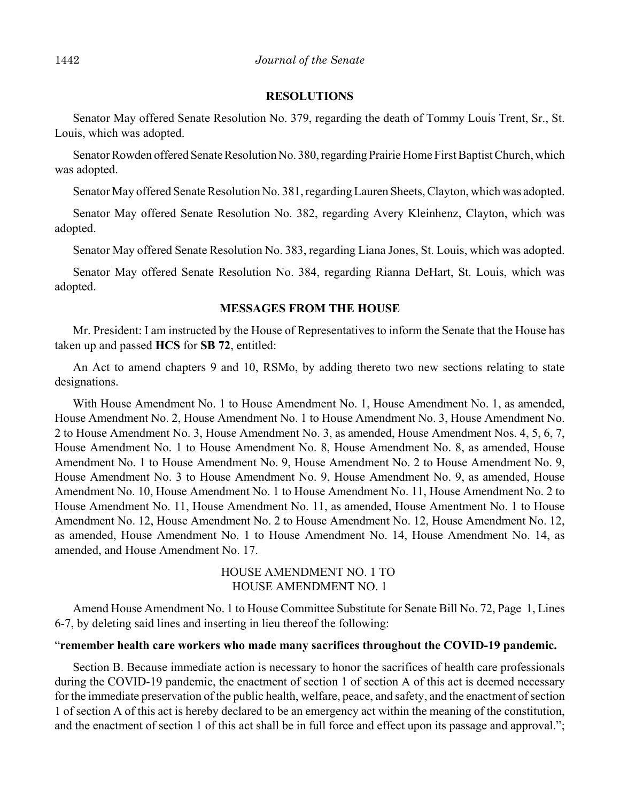#### **RESOLUTIONS**

Senator May offered Senate Resolution No. 379, regarding the death of Tommy Louis Trent, Sr., St. Louis, which was adopted.

Senator Rowden offered Senate Resolution No. 380, regarding Prairie Home First Baptist Church, which was adopted.

Senator May offered Senate Resolution No. 381, regarding Lauren Sheets, Clayton, which was adopted.

Senator May offered Senate Resolution No. 382, regarding Avery Kleinhenz, Clayton, which was adopted.

Senator May offered Senate Resolution No. 383, regarding Liana Jones, St. Louis, which was adopted.

Senator May offered Senate Resolution No. 384, regarding Rianna DeHart, St. Louis, which was adopted.

#### **MESSAGES FROM THE HOUSE**

Mr. President: I am instructed by the House of Representatives to inform the Senate that the House has taken up and passed **HCS** for **SB 72**, entitled:

An Act to amend chapters 9 and 10, RSMo, by adding thereto two new sections relating to state designations.

With House Amendment No. 1 to House Amendment No. 1, House Amendment No. 1, as amended, House Amendment No. 2, House Amendment No. 1 to House Amendment No. 3, House Amendment No. 2 to House Amendment No. 3, House Amendment No. 3, as amended, House Amendment Nos. 4, 5, 6, 7, House Amendment No. 1 to House Amendment No. 8, House Amendment No. 8, as amended, House Amendment No. 1 to House Amendment No. 9, House Amendment No. 2 to House Amendment No. 9, House Amendment No. 3 to House Amendment No. 9, House Amendment No. 9, as amended, House Amendment No. 10, House Amendment No. 1 to House Amendment No. 11, House Amendment No. 2 to House Amendment No. 11, House Amendment No. 11, as amended, House Amentment No. 1 to House Amendment No. 12, House Amendment No. 2 to House Amendment No. 12, House Amendment No. 12, as amended, House Amendment No. 1 to House Amendment No. 14, House Amendment No. 14, as amended, and House Amendment No. 17.

> HOUSE AMENDMENT NO. 1 TO HOUSE AMENDMENT NO. 1

Amend House Amendment No. 1 to House Committee Substitute for Senate Bill No. 72, Page 1, Lines 6-7, by deleting said lines and inserting in lieu thereof the following:

#### "**remember health care workers who made many sacrifices throughout the COVID-19 pandemic.**

Section B. Because immediate action is necessary to honor the sacrifices of health care professionals during the COVID-19 pandemic, the enactment of section 1 of section A of this act is deemed necessary for the immediate preservation of the public health, welfare, peace, and safety, and the enactment of section 1 of section A of this act is hereby declared to be an emergency act within the meaning of the constitution, and the enactment of section 1 of this act shall be in full force and effect upon its passage and approval.";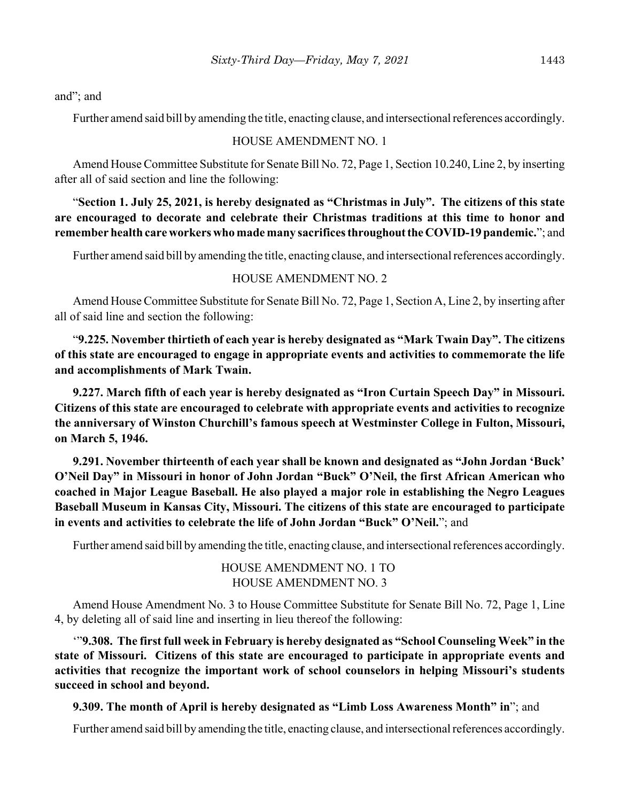and"; and

Further amend said bill by amending the title, enacting clause, and intersectional references accordingly.

## HOUSE AMENDMENT NO. 1

Amend House Committee Substitute for Senate Bill No. 72, Page 1, Section 10.240, Line 2, by inserting after all of said section and line the following:

"**Section 1. July 25, 2021, is hereby designated as "Christmas in July". The citizens of this state are encouraged to decorate and celebrate their Christmas traditions at this time to honor and remember health care workers who made many sacrifices throughout the COVID-19 pandemic.**"; and

Further amend said bill by amending the title, enacting clause, and intersectional references accordingly.

# HOUSE AMENDMENT NO. 2

Amend House Committee Substitute for Senate Bill No. 72, Page 1, Section A, Line 2, by inserting after all of said line and section the following:

"**9.225. November thirtieth of each year is hereby designated as "Mark Twain Day". The citizens of this state are encouraged to engage in appropriate events and activities to commemorate the life and accomplishments of Mark Twain.**

**9.227. March fifth of each year is hereby designated as "Iron Curtain Speech Day" in Missouri. Citizens of this state are encouraged to celebrate with appropriate events and activities to recognize the anniversary of Winston Churchill's famous speech at Westminster College in Fulton, Missouri, on March 5, 1946.**

**9.291. November thirteenth of each year shall be known and designated as "John Jordan 'Buck' O'Neil Day" in Missouri in honor of John Jordan "Buck" O'Neil, the first African American who coached in Major League Baseball. He also played a major role in establishing the Negro Leagues Baseball Museum in Kansas City, Missouri. The citizens of this state are encouraged to participate in events and activities to celebrate the life of John Jordan "Buck" O'Neil.**"; and

Further amend said bill by amending the title, enacting clause, and intersectional references accordingly.

# HOUSE AMENDMENT NO. 1 TO HOUSE AMENDMENT NO. 3

Amend House Amendment No. 3 to House Committee Substitute for Senate Bill No. 72, Page 1, Line 4, by deleting all of said line and inserting in lieu thereof the following:

'"**9.308. The first full week in February is hereby designated as "School Counseling Week" in the state of Missouri. Citizens of this state are encouraged to participate in appropriate events and activities that recognize the important work of school counselors in helping Missouri's students succeed in school and beyond.**

**9.309. The month of April is hereby designated as "Limb Loss Awareness Month" in**"; and

Further amend said bill by amending the title, enacting clause, and intersectional references accordingly.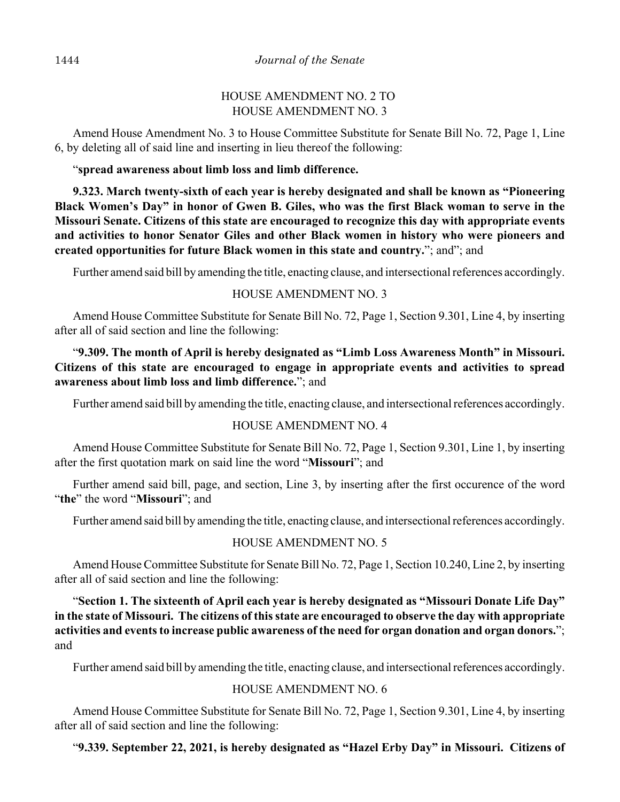# HOUSE AMENDMENT NO. 2 TO HOUSE AMENDMENT NO. 3

Amend House Amendment No. 3 to House Committee Substitute for Senate Bill No. 72, Page 1, Line 6, by deleting all of said line and inserting in lieu thereof the following:

"**spread awareness about limb loss and limb difference.**

**9.323. March twenty-sixth of each year is hereby designated and shall be known as "Pioneering Black Women's Day" in honor of Gwen B. Giles, who was the first Black woman to serve in the Missouri Senate. Citizens of this state are encouraged to recognize this day with appropriate events and activities to honor Senator Giles and other Black women in history who were pioneers and created opportunities for future Black women in this state and country.**"; and"; and

Further amend said bill by amending the title, enacting clause, and intersectional references accordingly.

# HOUSE AMENDMENT NO. 3

Amend House Committee Substitute for Senate Bill No. 72, Page 1, Section 9.301, Line 4, by inserting after all of said section and line the following:

# "**9.309. The month of April is hereby designated as "Limb Loss Awareness Month" in Missouri. Citizens of this state are encouraged to engage in appropriate events and activities to spread awareness about limb loss and limb difference.**"; and

Further amend said bill by amending the title, enacting clause, and intersectional references accordingly.

# HOUSE AMENDMENT NO. 4

Amend House Committee Substitute for Senate Bill No. 72, Page 1, Section 9.301, Line 1, by inserting after the first quotation mark on said line the word "**Missouri**"; and

Further amend said bill, page, and section, Line 3, by inserting after the first occurence of the word "**the**" the word "**Missouri**"; and

Further amend said bill by amending the title, enacting clause, and intersectional references accordingly.

# HOUSE AMENDMENT NO. 5

Amend House Committee Substitute for Senate Bill No. 72, Page 1, Section 10.240, Line 2, by inserting after all of said section and line the following:

"**Section 1. The sixteenth of April each year is hereby designated as "Missouri Donate Life Day" in the state of Missouri. The citizens of this state are encouraged to observe the day with appropriate activities and events to increase public awareness of the need for organ donation and organ donors.**"; and

Further amend said bill by amending the title, enacting clause, and intersectional references accordingly.

## HOUSE AMENDMENT NO. 6

Amend House Committee Substitute for Senate Bill No. 72, Page 1, Section 9.301, Line 4, by inserting after all of said section and line the following:

"**9.339. September 22, 2021, is hereby designated as "Hazel Erby Day" in Missouri. Citizens of**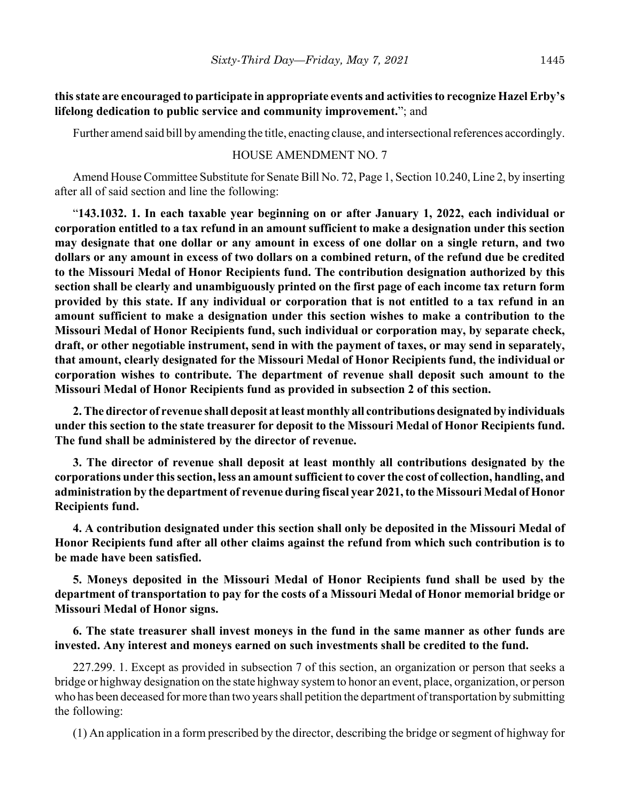**this state are encouraged to participate in appropriate events and activities to recognize Hazel Erby's lifelong dedication to public service and community improvement.**"; and

Further amend said bill by amending the title, enacting clause, and intersectional references accordingly.

#### HOUSE AMENDMENT NO. 7

Amend House Committee Substitute for Senate Bill No. 72, Page 1, Section 10.240, Line 2, by inserting after all of said section and line the following:

"**143.1032. 1. In each taxable year beginning on or after January 1, 2022, each individual or corporation entitled to a tax refund in an amount sufficient to make a designation under this section may designate that one dollar or any amount in excess of one dollar on a single return, and two dollars or any amount in excess of two dollars on a combined return, of the refund due be credited to the Missouri Medal of Honor Recipients fund. The contribution designation authorized by this section shall be clearly and unambiguously printed on the first page of each income tax return form provided by this state. If any individual or corporation that is not entitled to a tax refund in an amount sufficient to make a designation under this section wishes to make a contribution to the Missouri Medal of Honor Recipients fund, such individual or corporation may, by separate check, draft, or other negotiable instrument, send in with the payment of taxes, or may send in separately, that amount, clearly designated for the Missouri Medal of Honor Recipients fund, the individual or corporation wishes to contribute. The department of revenue shall deposit such amount to the Missouri Medal of Honor Recipients fund as provided in subsection 2 of this section.**

**2. The director of revenue shall deposit at least monthly all contributions designated by individuals under this section to the state treasurer for deposit to the Missouri Medal of Honor Recipients fund. The fund shall be administered by the director of revenue.**

**3. The director of revenue shall deposit at least monthly all contributions designated by the corporations under this section, less an amount sufficient to cover the cost of collection, handling, and administration by the department of revenue during fiscal year 2021, to the Missouri Medal of Honor Recipients fund.**

**4. A contribution designated under this section shall only be deposited in the Missouri Medal of Honor Recipients fund after all other claims against the refund from which such contribution is to be made have been satisfied.**

**5. Moneys deposited in the Missouri Medal of Honor Recipients fund shall be used by the department of transportation to pay for the costs of a Missouri Medal of Honor memorial bridge or Missouri Medal of Honor signs.**

## **6. The state treasurer shall invest moneys in the fund in the same manner as other funds are invested. Any interest and moneys earned on such investments shall be credited to the fund.**

227.299. 1. Except as provided in subsection 7 of this section, an organization or person that seeks a bridge or highway designation on the state highway system to honor an event, place, organization, or person who has been deceased for more than two years shall petition the department of transportation by submitting the following:

(1) An application in a form prescribed by the director, describing the bridge or segment of highway for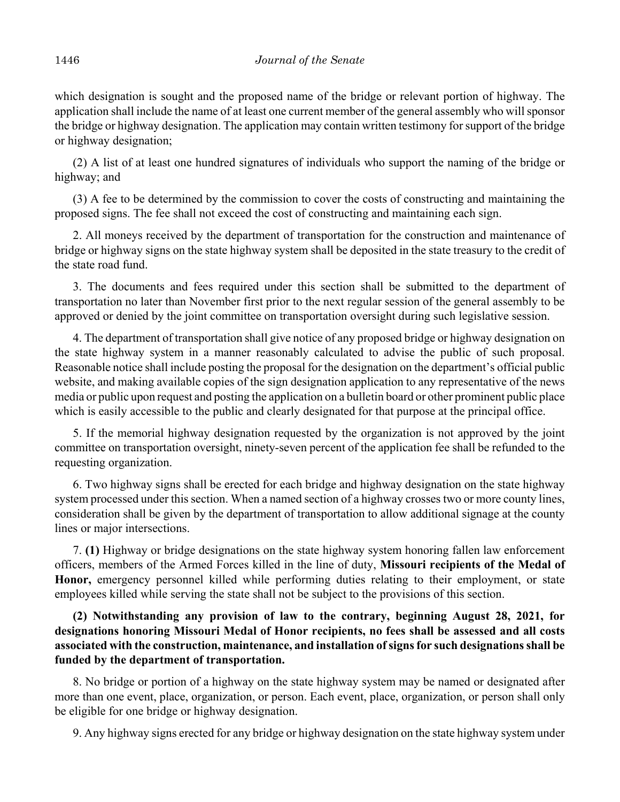which designation is sought and the proposed name of the bridge or relevant portion of highway. The application shall include the name of at least one current member of the general assembly who will sponsor the bridge or highway designation. The application may contain written testimony for support of the bridge or highway designation;

(2) A list of at least one hundred signatures of individuals who support the naming of the bridge or highway; and

(3) A fee to be determined by the commission to cover the costs of constructing and maintaining the proposed signs. The fee shall not exceed the cost of constructing and maintaining each sign.

2. All moneys received by the department of transportation for the construction and maintenance of bridge or highway signs on the state highway system shall be deposited in the state treasury to the credit of the state road fund.

3. The documents and fees required under this section shall be submitted to the department of transportation no later than November first prior to the next regular session of the general assembly to be approved or denied by the joint committee on transportation oversight during such legislative session.

4. The department of transportation shall give notice of any proposed bridge or highway designation on the state highway system in a manner reasonably calculated to advise the public of such proposal. Reasonable notice shall include posting the proposal for the designation on the department's official public website, and making available copies of the sign designation application to any representative of the news media or public upon request and posting the application on a bulletin board or other prominent public place which is easily accessible to the public and clearly designated for that purpose at the principal office.

5. If the memorial highway designation requested by the organization is not approved by the joint committee on transportation oversight, ninety-seven percent of the application fee shall be refunded to the requesting organization.

6. Two highway signs shall be erected for each bridge and highway designation on the state highway system processed under this section. When a named section of a highway crosses two or more county lines, consideration shall be given by the department of transportation to allow additional signage at the county lines or major intersections.

7. **(1)** Highway or bridge designations on the state highway system honoring fallen law enforcement officers, members of the Armed Forces killed in the line of duty, **Missouri recipients of the Medal of Honor,** emergency personnel killed while performing duties relating to their employment, or state employees killed while serving the state shall not be subject to the provisions of this section.

**(2) Notwithstanding any provision of law to the contrary, beginning August 28, 2021, for designations honoring Missouri Medal of Honor recipients, no fees shall be assessed and all costs associated with the construction, maintenance, and installation of signs for such designations shall be funded by the department of transportation.**

8. No bridge or portion of a highway on the state highway system may be named or designated after more than one event, place, organization, or person. Each event, place, organization, or person shall only be eligible for one bridge or highway designation.

9. Any highway signs erected for any bridge or highway designation on the state highway system under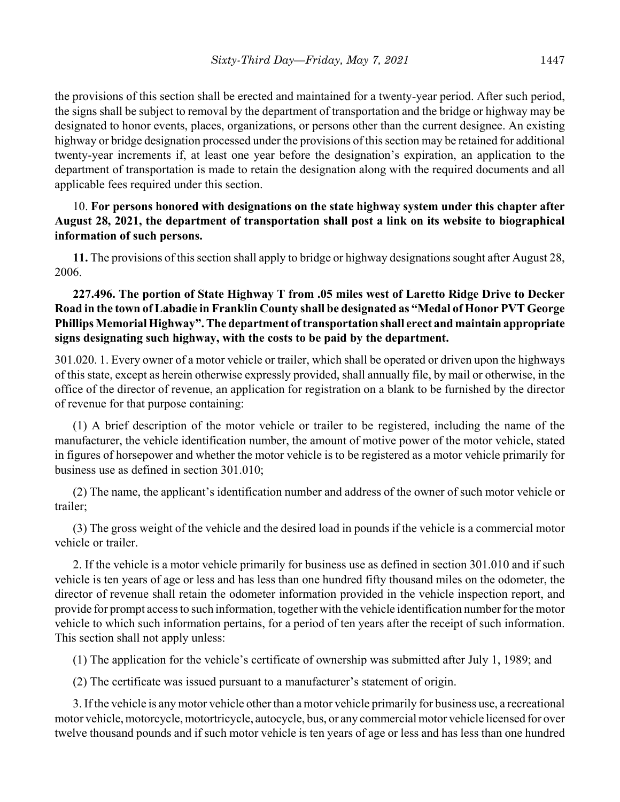the provisions of this section shall be erected and maintained for a twenty-year period. After such period, the signs shall be subject to removal by the department of transportation and the bridge or highway may be designated to honor events, places, organizations, or persons other than the current designee. An existing highway or bridge designation processed under the provisions of this section may be retained for additional twenty-year increments if, at least one year before the designation's expiration, an application to the department of transportation is made to retain the designation along with the required documents and all applicable fees required under this section.

# 10. **For persons honored with designations on the state highway system under this chapter after August 28, 2021, the department of transportation shall post a link on its website to biographical information of such persons.**

**11.** The provisions of this section shall apply to bridge or highway designations sought after August 28, 2006.

# **227.496. The portion of State Highway T from .05 miles west of Laretto Ridge Drive to Decker Road in the town of Labadie in Franklin County shall be designated as "Medal of Honor PVT George Phillips Memorial Highway". The department of transportation shall erect and maintain appropriate signs designating such highway, with the costs to be paid by the department.**

301.020. 1. Every owner of a motor vehicle or trailer, which shall be operated or driven upon the highways of this state, except as herein otherwise expressly provided, shall annually file, by mail or otherwise, in the office of the director of revenue, an application for registration on a blank to be furnished by the director of revenue for that purpose containing:

(1) A brief description of the motor vehicle or trailer to be registered, including the name of the manufacturer, the vehicle identification number, the amount of motive power of the motor vehicle, stated in figures of horsepower and whether the motor vehicle is to be registered as a motor vehicle primarily for business use as defined in section 301.010;

(2) The name, the applicant's identification number and address of the owner of such motor vehicle or trailer;

(3) The gross weight of the vehicle and the desired load in pounds if the vehicle is a commercial motor vehicle or trailer.

2. If the vehicle is a motor vehicle primarily for business use as defined in section 301.010 and if such vehicle is ten years of age or less and has less than one hundred fifty thousand miles on the odometer, the director of revenue shall retain the odometer information provided in the vehicle inspection report, and provide for prompt access to such information, together with the vehicle identification number for the motor vehicle to which such information pertains, for a period of ten years after the receipt of such information. This section shall not apply unless:

(1) The application for the vehicle's certificate of ownership was submitted after July 1, 1989; and

(2) The certificate was issued pursuant to a manufacturer's statement of origin.

3. If the vehicle is any motor vehicle other than a motor vehicle primarily for business use, a recreational motor vehicle, motorcycle, motortricycle, autocycle, bus, or any commercial motor vehicle licensed for over twelve thousand pounds and if such motor vehicle is ten years of age or less and has less than one hundred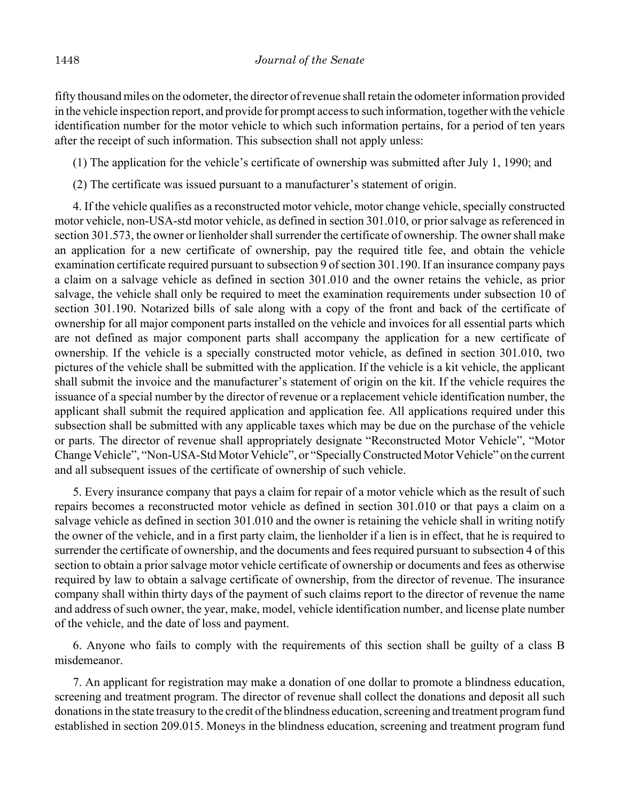fifty thousand miles on the odometer, the director of revenue shall retain the odometer information provided in the vehicle inspection report, and provide for prompt access to such information, together with the vehicle identification number for the motor vehicle to which such information pertains, for a period of ten years after the receipt of such information. This subsection shall not apply unless:

(1) The application for the vehicle's certificate of ownership was submitted after July 1, 1990; and

(2) The certificate was issued pursuant to a manufacturer's statement of origin.

4. If the vehicle qualifies as a reconstructed motor vehicle, motor change vehicle, specially constructed motor vehicle, non-USA-std motor vehicle, as defined in section 301.010, or prior salvage as referenced in section 301.573, the owner or lienholder shall surrender the certificate of ownership. The owner shall make an application for a new certificate of ownership, pay the required title fee, and obtain the vehicle examination certificate required pursuant to subsection 9 of section 301.190. If an insurance company pays a claim on a salvage vehicle as defined in section 301.010 and the owner retains the vehicle, as prior salvage, the vehicle shall only be required to meet the examination requirements under subsection 10 of section 301.190. Notarized bills of sale along with a copy of the front and back of the certificate of ownership for all major component parts installed on the vehicle and invoices for all essential parts which are not defined as major component parts shall accompany the application for a new certificate of ownership. If the vehicle is a specially constructed motor vehicle, as defined in section 301.010, two pictures of the vehicle shall be submitted with the application. If the vehicle is a kit vehicle, the applicant shall submit the invoice and the manufacturer's statement of origin on the kit. If the vehicle requires the issuance of a special number by the director of revenue or a replacement vehicle identification number, the applicant shall submit the required application and application fee. All applications required under this subsection shall be submitted with any applicable taxes which may be due on the purchase of the vehicle or parts. The director of revenue shall appropriately designate "Reconstructed Motor Vehicle", "Motor Change Vehicle", "Non-USA-Std Motor Vehicle", or "Specially Constructed Motor Vehicle" on the current and all subsequent issues of the certificate of ownership of such vehicle.

5. Every insurance company that pays a claim for repair of a motor vehicle which as the result of such repairs becomes a reconstructed motor vehicle as defined in section 301.010 or that pays a claim on a salvage vehicle as defined in section 301.010 and the owner is retaining the vehicle shall in writing notify the owner of the vehicle, and in a first party claim, the lienholder if a lien is in effect, that he is required to surrender the certificate of ownership, and the documents and fees required pursuant to subsection 4 of this section to obtain a prior salvage motor vehicle certificate of ownership or documents and fees as otherwise required by law to obtain a salvage certificate of ownership, from the director of revenue. The insurance company shall within thirty days of the payment of such claims report to the director of revenue the name and address of such owner, the year, make, model, vehicle identification number, and license plate number of the vehicle, and the date of loss and payment.

6. Anyone who fails to comply with the requirements of this section shall be guilty of a class B misdemeanor.

7. An applicant for registration may make a donation of one dollar to promote a blindness education, screening and treatment program. The director of revenue shall collect the donations and deposit all such donations in the state treasury to the credit of the blindness education, screening and treatment program fund established in section 209.015. Moneys in the blindness education, screening and treatment program fund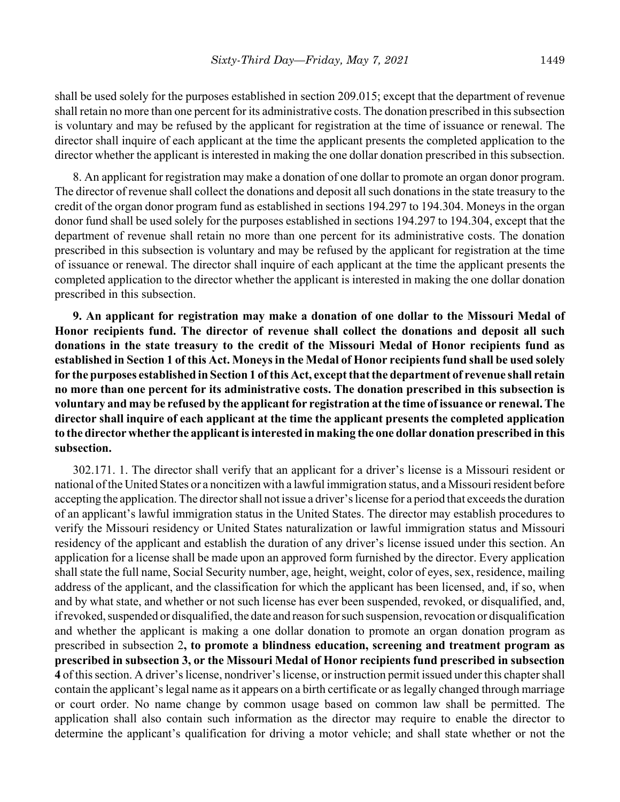shall be used solely for the purposes established in section 209.015; except that the department of revenue shall retain no more than one percent for its administrative costs. The donation prescribed in this subsection is voluntary and may be refused by the applicant for registration at the time of issuance or renewal. The director shall inquire of each applicant at the time the applicant presents the completed application to the director whether the applicant is interested in making the one dollar donation prescribed in this subsection.

8. An applicant for registration may make a donation of one dollar to promote an organ donor program. The director of revenue shall collect the donations and deposit all such donations in the state treasury to the credit of the organ donor program fund as established in sections 194.297 to 194.304. Moneys in the organ donor fund shall be used solely for the purposes established in sections 194.297 to 194.304, except that the department of revenue shall retain no more than one percent for its administrative costs. The donation prescribed in this subsection is voluntary and may be refused by the applicant for registration at the time of issuance or renewal. The director shall inquire of each applicant at the time the applicant presents the completed application to the director whether the applicant is interested in making the one dollar donation prescribed in this subsection.

**9. An applicant for registration may make a donation of one dollar to the Missouri Medal of Honor recipients fund. The director of revenue shall collect the donations and deposit all such donations in the state treasury to the credit of the Missouri Medal of Honor recipients fund as established in Section 1 of this Act. Moneys in the Medal of Honor recipients fund shall be used solely for the purposes established in Section 1 of this Act, except that the department of revenue shall retain no more than one percent for its administrative costs. The donation prescribed in this subsection is voluntary and may be refused by the applicant for registration at the time of issuance or renewal. The director shall inquire of each applicant at the time the applicant presents the completed application to the director whether the applicant is interested in making the one dollar donation prescribed in this subsection.**

302.171. 1. The director shall verify that an applicant for a driver's license is a Missouri resident or national of the United States or a noncitizen with a lawful immigration status, and a Missouri resident before accepting the application. The director shall not issue a driver's license for a period that exceeds the duration of an applicant's lawful immigration status in the United States. The director may establish procedures to verify the Missouri residency or United States naturalization or lawful immigration status and Missouri residency of the applicant and establish the duration of any driver's license issued under this section. An application for a license shall be made upon an approved form furnished by the director. Every application shall state the full name, Social Security number, age, height, weight, color of eyes, sex, residence, mailing address of the applicant, and the classification for which the applicant has been licensed, and, if so, when and by what state, and whether or not such license has ever been suspended, revoked, or disqualified, and, if revoked, suspended or disqualified, the date and reason for such suspension, revocation or disqualification and whether the applicant is making a one dollar donation to promote an organ donation program as prescribed in subsection 2**, to promote a blindness education, screening and treatment program as prescribed in subsection 3, or the Missouri Medal of Honor recipients fund prescribed in subsection 4** of this section. A driver's license, nondriver's license, or instruction permit issued under this chapter shall contain the applicant's legal name as it appears on a birth certificate or as legally changed through marriage or court order. No name change by common usage based on common law shall be permitted. The application shall also contain such information as the director may require to enable the director to determine the applicant's qualification for driving a motor vehicle; and shall state whether or not the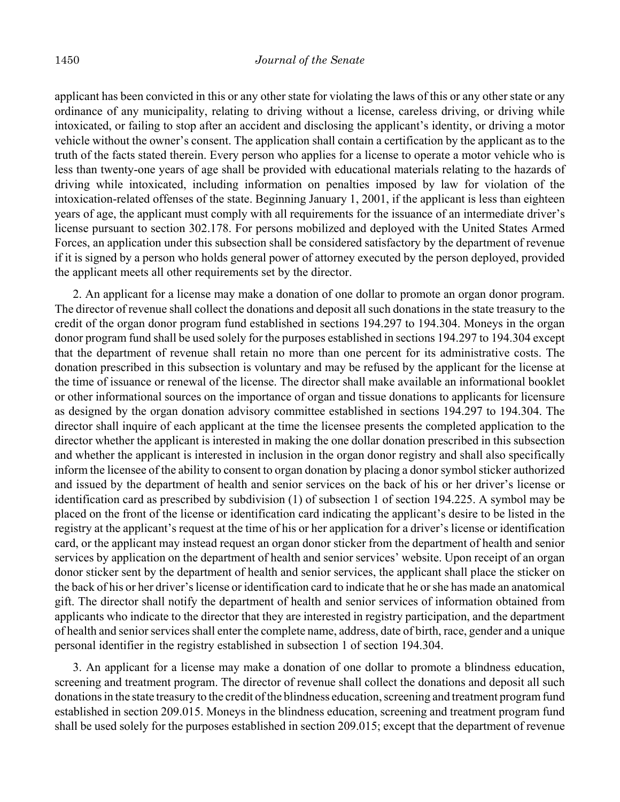applicant has been convicted in this or any other state for violating the laws of this or any other state or any ordinance of any municipality, relating to driving without a license, careless driving, or driving while intoxicated, or failing to stop after an accident and disclosing the applicant's identity, or driving a motor vehicle without the owner's consent. The application shall contain a certification by the applicant as to the truth of the facts stated therein. Every person who applies for a license to operate a motor vehicle who is less than twenty-one years of age shall be provided with educational materials relating to the hazards of driving while intoxicated, including information on penalties imposed by law for violation of the intoxication-related offenses of the state. Beginning January 1, 2001, if the applicant is less than eighteen years of age, the applicant must comply with all requirements for the issuance of an intermediate driver's license pursuant to section 302.178. For persons mobilized and deployed with the United States Armed Forces, an application under this subsection shall be considered satisfactory by the department of revenue if it is signed by a person who holds general power of attorney executed by the person deployed, provided the applicant meets all other requirements set by the director.

2. An applicant for a license may make a donation of one dollar to promote an organ donor program. The director of revenue shall collect the donations and deposit all such donations in the state treasury to the credit of the organ donor program fund established in sections 194.297 to 194.304. Moneys in the organ donor program fund shall be used solely for the purposes established in sections 194.297 to 194.304 except that the department of revenue shall retain no more than one percent for its administrative costs. The donation prescribed in this subsection is voluntary and may be refused by the applicant for the license at the time of issuance or renewal of the license. The director shall make available an informational booklet or other informational sources on the importance of organ and tissue donations to applicants for licensure as designed by the organ donation advisory committee established in sections 194.297 to 194.304. The director shall inquire of each applicant at the time the licensee presents the completed application to the director whether the applicant is interested in making the one dollar donation prescribed in this subsection and whether the applicant is interested in inclusion in the organ donor registry and shall also specifically inform the licensee of the ability to consent to organ donation by placing a donor symbol sticker authorized and issued by the department of health and senior services on the back of his or her driver's license or identification card as prescribed by subdivision (1) of subsection 1 of section 194.225. A symbol may be placed on the front of the license or identification card indicating the applicant's desire to be listed in the registry at the applicant's request at the time of his or her application for a driver's license or identification card, or the applicant may instead request an organ donor sticker from the department of health and senior services by application on the department of health and senior services' website. Upon receipt of an organ donor sticker sent by the department of health and senior services, the applicant shall place the sticker on the back of his or her driver's license or identification card to indicate that he or she has made an anatomical gift. The director shall notify the department of health and senior services of information obtained from applicants who indicate to the director that they are interested in registry participation, and the department of health and senior services shall enter the complete name, address, date of birth, race, gender and a unique personal identifier in the registry established in subsection 1 of section 194.304.

3. An applicant for a license may make a donation of one dollar to promote a blindness education, screening and treatment program. The director of revenue shall collect the donations and deposit all such donations in the state treasury to the credit of the blindness education, screening and treatment program fund established in section 209.015. Moneys in the blindness education, screening and treatment program fund shall be used solely for the purposes established in section 209.015; except that the department of revenue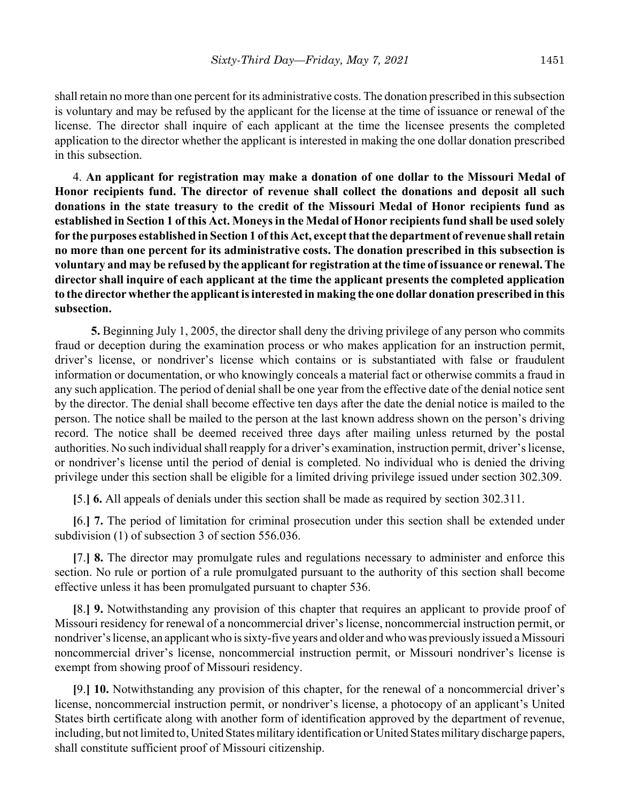shall retain no more than one percent for its administrative costs. The donation prescribed in this subsection is voluntary and may be refused by the applicant for the license at the time of issuance or renewal of the license. The director shall inquire of each applicant at the time the licensee presents the completed application to the director whether the applicant is interested in making the one dollar donation prescribed in this subsection.

4. **An applicant for registration may make a donation of one dollar to the Missouri Medal of Honor recipients fund. The director of revenue shall collect the donations and deposit all such donations in the state treasury to the credit of the Missouri Medal of Honor recipients fund as established in Section 1 of this Act. Moneys in the Medal of Honor recipients fund shall be used solely for the purposes established in Section 1 of this Act, except that the department of revenue shall retain no more than one percent for its administrative costs. The donation prescribed in this subsection is voluntary and may be refused by the applicant for registration at the time of issuance or renewal. The director shall inquire of each applicant at the time the applicant presents the completed application to the director whether the applicant is interested in making the one dollar donation prescribed in this subsection.**

**5.** Beginning July 1, 2005, the director shall deny the driving privilege of any person who commits fraud or deception during the examination process or who makes application for an instruction permit, driver's license, or nondriver's license which contains or is substantiated with false or fraudulent information or documentation, or who knowingly conceals a material fact or otherwise commits a fraud in any such application. The period of denial shall be one year from the effective date of the denial notice sent by the director. The denial shall become effective ten days after the date the denial notice is mailed to the person. The notice shall be mailed to the person at the last known address shown on the person's driving record. The notice shall be deemed received three days after mailing unless returned by the postal authorities. No such individual shall reapply for a driver's examination, instruction permit, driver's license, or nondriver's license until the period of denial is completed. No individual who is denied the driving privilege under this section shall be eligible for a limited driving privilege issued under section 302.309.

**[**5.**] 6.** All appeals of denials under this section shall be made as required by section 302.311.

**[**6.**] 7.** The period of limitation for criminal prosecution under this section shall be extended under subdivision (1) of subsection 3 of section 556.036.

**[**7.**] 8.** The director may promulgate rules and regulations necessary to administer and enforce this section. No rule or portion of a rule promulgated pursuant to the authority of this section shall become effective unless it has been promulgated pursuant to chapter 536.

**[**8.**] 9.** Notwithstanding any provision of this chapter that requires an applicant to provide proof of Missouri residency for renewal of a noncommercial driver's license, noncommercial instruction permit, or nondriver's license, an applicant who is sixty-five years and older and who was previously issued a Missouri noncommercial driver's license, noncommercial instruction permit, or Missouri nondriver's license is exempt from showing proof of Missouri residency.

**[**9.**] 10.** Notwithstanding any provision of this chapter, for the renewal of a noncommercial driver's license, noncommercial instruction permit, or nondriver's license, a photocopy of an applicant's United States birth certificate along with another form of identification approved by the department of revenue, including, but not limited to, United States military identification or United States military discharge papers, shall constitute sufficient proof of Missouri citizenship.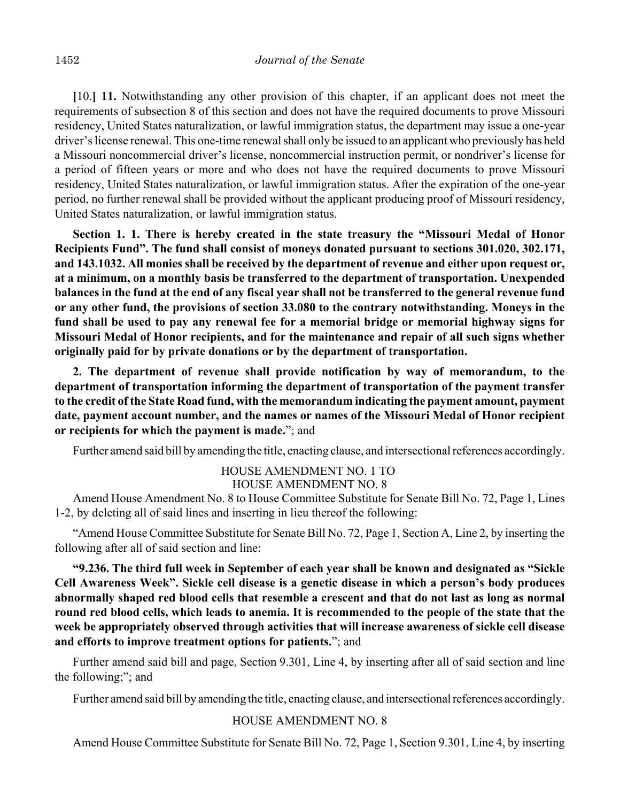**[**10.**] 11.** Notwithstanding any other provision of this chapter, if an applicant does not meet the requirements of subsection 8 of this section and does not have the required documents to prove Missouri residency, United States naturalization, or lawful immigration status, the department may issue a one-year driver's license renewal. This one-time renewal shall only be issued to an applicant who previously has held a Missouri noncommercial driver's license, noncommercial instruction permit, or nondriver's license for a period of fifteen years or more and who does not have the required documents to prove Missouri residency, United States naturalization, or lawful immigration status. After the expiration of the one-year period, no further renewal shall be provided without the applicant producing proof of Missouri residency, United States naturalization, or lawful immigration status.

**Section 1. 1. There is hereby created in the state treasury the "Missouri Medal of Honor Recipients Fund". The fund shall consist of moneys donated pursuant to sections 301.020, 302.171, and 143.1032. All monies shall be received by the department of revenue and either upon request or, at a minimum, on a monthly basis be transferred to the department of transportation. Unexpended balances in the fund at the end of any fiscal year shall not be transferred to the general revenue fund or any other fund, the provisions of section 33.080 to the contrary notwithstanding. Moneys in the fund shall be used to pay any renewal fee for a memorial bridge or memorial highway signs for Missouri Medal of Honor recipients, and for the maintenance and repair of all such signs whether originally paid for by private donations or by the department of transportation.**

**2. The department of revenue shall provide notification by way of memorandum, to the department of transportation informing the department of transportation of the payment transfer to the credit of the State Road fund, with the memorandum indicating the payment amount, payment date, payment account number, and the names or names of the Missouri Medal of Honor recipient or recipients for which the payment is made.**"; and

Further amend said bill by amending the title, enacting clause, and intersectional references accordingly.

HOUSE AMENDMENT NO. 1 TO HOUSE AMENDMENT NO. 8

Amend House Amendment No. 8 to House Committee Substitute for Senate Bill No. 72, Page 1, Lines 1-2, by deleting all of said lines and inserting in lieu thereof the following:

"Amend House Committee Substitute for Senate Bill No. 72, Page 1, Section A, Line 2, by inserting the following after all of said section and line:

**"9.236. The third full week in September of each year shall be known and designated as "Sickle Cell Awareness Week". Sickle cell disease is a genetic disease in which a person's body produces abnormally shaped red blood cells that resemble a crescent and that do not last as long as normal round red blood cells, which leads to anemia. It is recommended to the people of the state that the week be appropriately observed through activities that will increase awareness of sickle cell disease and efforts to improve treatment options for patients.**"; and

Further amend said bill and page, Section 9.301, Line 4, by inserting after all of said section and line the following;"; and

Further amend said bill by amending the title, enacting clause, and intersectional references accordingly.

# HOUSE AMENDMENT NO. 8

Amend House Committee Substitute for Senate Bill No. 72, Page 1, Section 9.301, Line 4, by inserting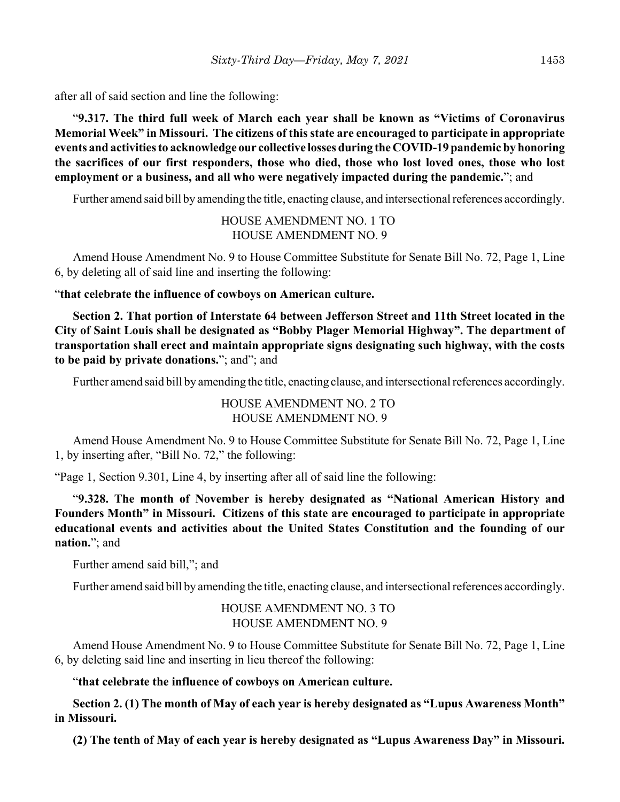after all of said section and line the following:

"**9.317. The third full week of March each year shall be known as "Victims of Coronavirus Memorial Week" in Missouri. The citizens of this state are encouraged to participate in appropriate events and activities to acknowledge our collective losses during the COVID-19 pandemic by honoring the sacrifices of our first responders, those who died, those who lost loved ones, those who lost employment or a business, and all who were negatively impacted during the pandemic.**"; and

Further amend said bill by amending the title, enacting clause, and intersectional references accordingly.

HOUSE AMENDMENT NO. 1 TO HOUSE AMENDMENT NO. 9

Amend House Amendment No. 9 to House Committee Substitute for Senate Bill No. 72, Page 1, Line 6, by deleting all of said line and inserting the following:

"**that celebrate the influence of cowboys on American culture.**

**Section 2. That portion of Interstate 64 between Jefferson Street and 11th Street located in the City of Saint Louis shall be designated as "Bobby Plager Memorial Highway". The department of transportation shall erect and maintain appropriate signs designating such highway, with the costs to be paid by private donations.**"; and"; and

Further amend said bill by amending the title, enacting clause, and intersectional references accordingly.

HOUSE AMENDMENT NO. 2 TO HOUSE AMENDMENT NO. 9

Amend House Amendment No. 9 to House Committee Substitute for Senate Bill No. 72, Page 1, Line 1, by inserting after, "Bill No. 72," the following:

"Page 1, Section 9.301, Line 4, by inserting after all of said line the following:

"**9.328. The month of November is hereby designated as "National American History and Founders Month" in Missouri. Citizens of this state are encouraged to participate in appropriate educational events and activities about the United States Constitution and the founding of our nation.**"; and

Further amend said bill,"; and

Further amend said bill by amending the title, enacting clause, and intersectional references accordingly.

HOUSE AMENDMENT NO. 3 TO HOUSE AMENDMENT NO. 9

Amend House Amendment No. 9 to House Committee Substitute for Senate Bill No. 72, Page 1, Line 6, by deleting said line and inserting in lieu thereof the following:

"**that celebrate the influence of cowboys on American culture.**

**Section 2. (1) The month of May of each year is hereby designated as "Lupus Awareness Month" in Missouri.** 

**(2) The tenth of May of each year is hereby designated as "Lupus Awareness Day" in Missouri.**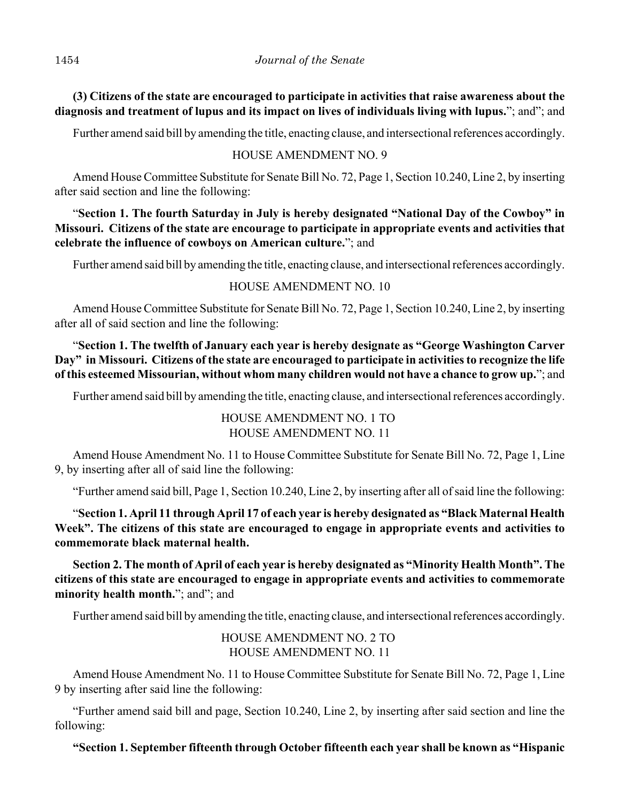**(3) Citizens of the state are encouraged to participate in activities that raise awareness about the diagnosis and treatment of lupus and its impact on lives of individuals living with lupus.**"; and"; and

Further amend said bill by amending the title, enacting clause, and intersectional references accordingly.

# HOUSE AMENDMENT NO. 9

Amend House Committee Substitute for Senate Bill No. 72, Page 1, Section 10.240, Line 2, by inserting after said section and line the following:

"**Section 1. The fourth Saturday in July is hereby designated "National Day of the Cowboy" in Missouri. Citizens of the state are encourage to participate in appropriate events and activities that celebrate the influence of cowboys on American culture.**"; and

Further amend said bill by amending the title, enacting clause, and intersectional references accordingly.

# HOUSE AMENDMENT NO. 10

Amend House Committee Substitute for Senate Bill No. 72, Page 1, Section 10.240, Line 2, by inserting after all of said section and line the following:

"**Section 1. The twelfth of January each year is hereby designate as "George Washington Carver Day" in Missouri. Citizens of the state are encouraged to participate in activities to recognize the life of this esteemed Missourian, without whom many children would not have a chance to grow up.**"; and

Further amend said bill by amending the title, enacting clause, and intersectional references accordingly.

HOUSE AMENDMENT NO. 1 TO HOUSE AMENDMENT NO. 11

Amend House Amendment No. 11 to House Committee Substitute for Senate Bill No. 72, Page 1, Line 9, by inserting after all of said line the following:

"Further amend said bill, Page 1, Section 10.240, Line 2, by inserting after all of said line the following:

"**Section 1. April 11 through April 17 of each year is hereby designated as "Black Maternal Health Week". The citizens of this state are encouraged to engage in appropriate events and activities to commemorate black maternal health.**

**Section 2. The month of April of each year is hereby designated as "Minority Health Month". The citizens of this state are encouraged to engage in appropriate events and activities to commemorate** minority health month."; and"; and

Further amend said bill by amending the title, enacting clause, and intersectional references accordingly.

# HOUSE AMENDMENT NO. 2 TO HOUSE AMENDMENT NO. 11

Amend House Amendment No. 11 to House Committee Substitute for Senate Bill No. 72, Page 1, Line 9 by inserting after said line the following:

"Further amend said bill and page, Section 10.240, Line 2, by inserting after said section and line the following:

**"Section 1. September fifteenth through October fifteenth each year shall be known as "Hispanic**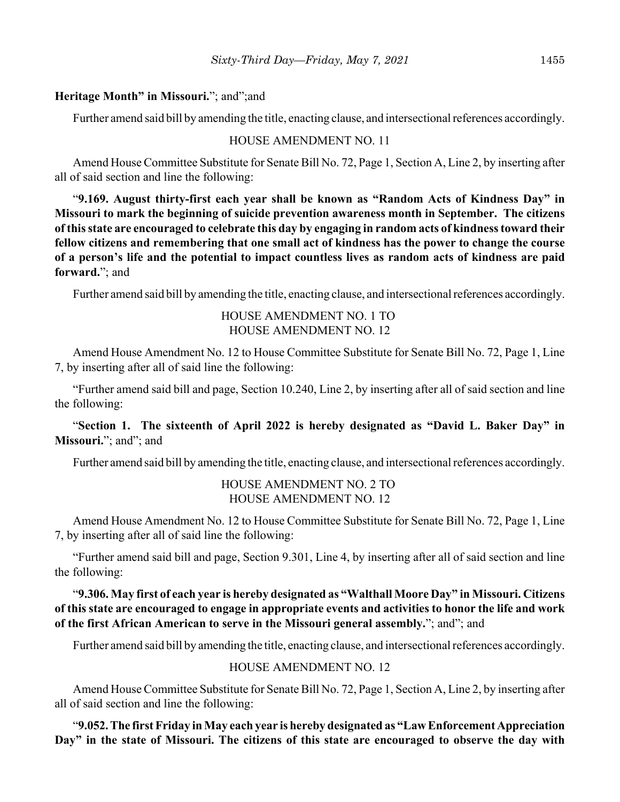#### **Heritage Month" in Missouri.**"; and";and

Further amend said bill by amending the title, enacting clause, and intersectional references accordingly.

#### HOUSE AMENDMENT NO. 11

Amend House Committee Substitute for Senate Bill No. 72, Page 1, Section A, Line 2, by inserting after all of said section and line the following:

"**9.169. August thirty-first each year shall be known as "Random Acts of Kindness Day" in Missouri to mark the beginning of suicide prevention awareness month in September. The citizens of this state are encouraged to celebrate this day by engaging in random acts of kindness toward their fellow citizens and remembering that one small act of kindness has the power to change the course of a person's life and the potential to impact countless lives as random acts of kindness are paid forward.**"; and

Further amend said bill by amending the title, enacting clause, and intersectional references accordingly.

# HOUSE AMENDMENT NO. 1 TO HOUSE AMENDMENT NO. 12

Amend House Amendment No. 12 to House Committee Substitute for Senate Bill No. 72, Page 1, Line 7, by inserting after all of said line the following:

"Further amend said bill and page, Section 10.240, Line 2, by inserting after all of said section and line the following:

"**Section 1. The sixteenth of April 2022 is hereby designated as "David L. Baker Day" in Missouri.**"; and"; and

Further amend said bill by amending the title, enacting clause, and intersectional references accordingly.

# HOUSE AMENDMENT NO. 2 TO HOUSE AMENDMENT NO. 12

Amend House Amendment No. 12 to House Committee Substitute for Senate Bill No. 72, Page 1, Line 7, by inserting after all of said line the following:

"Further amend said bill and page, Section 9.301, Line 4, by inserting after all of said section and line the following:

"**9.306. May first of each year is hereby designated as "Walthall Moore Day" in Missouri. Citizens of this state are encouraged to engage in appropriate events and activities to honor the life and work of the first African American to serve in the Missouri general assembly.**"; and"; and

Further amend said bill by amending the title, enacting clause, and intersectional references accordingly.

## HOUSE AMENDMENT NO. 12

Amend House Committee Substitute for Senate Bill No. 72, Page 1, Section A, Line 2, by inserting after all of said section and line the following:

"**9.052. The first Friday in May each year is hereby designated as "Law Enforcement Appreciation Day" in the state of Missouri. The citizens of this state are encouraged to observe the day with**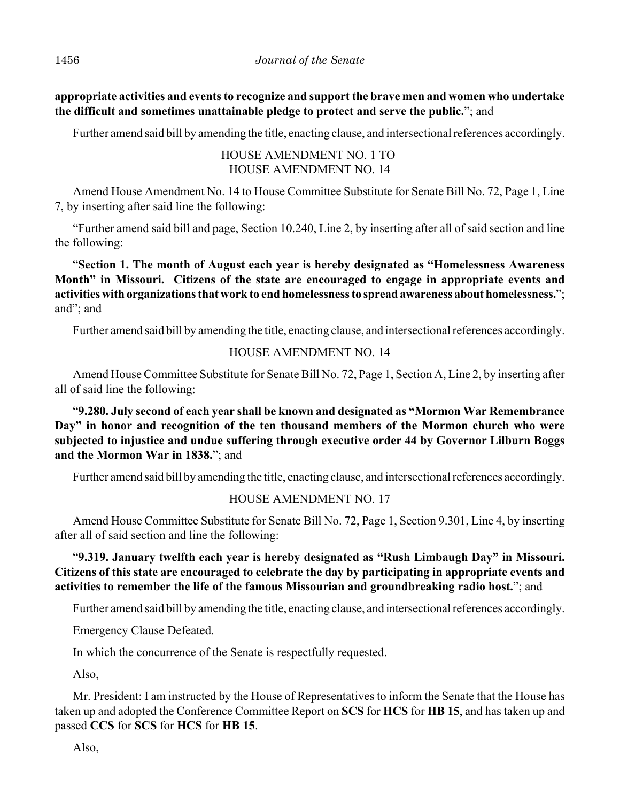**appropriate activities and events to recognize and support the brave men and women who undertake the difficult and sometimes unattainable pledge to protect and serve the public.**"; and

Further amend said bill by amending the title, enacting clause, and intersectional references accordingly.

HOUSE AMENDMENT NO. 1 TO HOUSE AMENDMENT NO. 14

Amend House Amendment No. 14 to House Committee Substitute for Senate Bill No. 72, Page 1, Line 7, by inserting after said line the following:

"Further amend said bill and page, Section 10.240, Line 2, by inserting after all of said section and line the following:

"**Section 1. The month of August each year is hereby designated as "Homelessness Awareness Month" in Missouri. Citizens of the state are encouraged to engage in appropriate events and activities with organizations that work to end homelessness to spread awareness about homelessness.**"; and"; and

Further amend said bill by amending the title, enacting clause, and intersectional references accordingly.

# HOUSE AMENDMENT NO. 14

Amend House Committee Substitute for Senate Bill No. 72, Page 1, Section A, Line 2, by inserting after all of said line the following:

"**9.280. July second of each year shall be known and designated as "Mormon War Remembrance Day" in honor and recognition of the ten thousand members of the Mormon church who were subjected to injustice and undue suffering through executive order 44 by Governor Lilburn Boggs and the Mormon War in 1838.**"; and

Further amend said bill by amending the title, enacting clause, and intersectional references accordingly.

# HOUSE AMENDMENT NO. 17

Amend House Committee Substitute for Senate Bill No. 72, Page 1, Section 9.301, Line 4, by inserting after all of said section and line the following:

"**9.319. January twelfth each year is hereby designated as "Rush Limbaugh Day" in Missouri. Citizens of this state are encouraged to celebrate the day by participating in appropriate events and activities to remember the life of the famous Missourian and groundbreaking radio host.**"; and

Further amend said bill by amending the title, enacting clause, and intersectional references accordingly.

Emergency Clause Defeated.

In which the concurrence of the Senate is respectfully requested.

Also,

Mr. President: I am instructed by the House of Representatives to inform the Senate that the House has taken up and adopted the Conference Committee Report on **SCS** for **HCS** for **HB 15**, and has taken up and passed **CCS** for **SCS** for **HCS** for **HB 15**.

Also,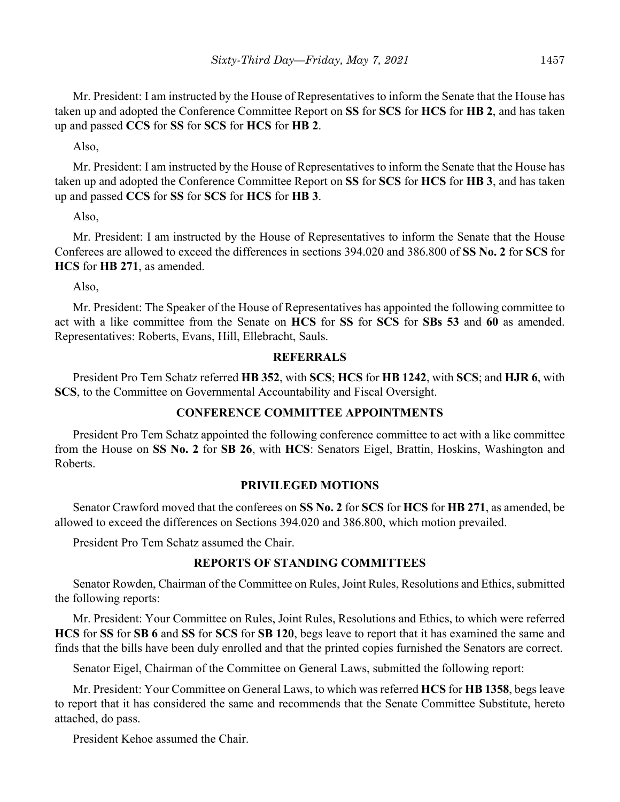Mr. President: I am instructed by the House of Representatives to inform the Senate that the House has taken up and adopted the Conference Committee Report on **SS** for **SCS** for **HCS** for **HB 2**, and has taken up and passed **CCS** for **SS** for **SCS** for **HCS** for **HB 2**.

Also,

Mr. President: I am instructed by the House of Representatives to inform the Senate that the House has taken up and adopted the Conference Committee Report on **SS** for **SCS** for **HCS** for **HB 3**, and has taken up and passed **CCS** for **SS** for **SCS** for **HCS** for **HB 3**.

Also,

Mr. President: I am instructed by the House of Representatives to inform the Senate that the House Conferees are allowed to exceed the differences in sections 394.020 and 386.800 of **SS No. 2** for **SCS** for **HCS** for **HB 271**, as amended.

Also,

Mr. President: The Speaker of the House of Representatives has appointed the following committee to act with a like committee from the Senate on **HCS** for **SS** for **SCS** for **SBs 53** and **60** as amended. Representatives: Roberts, Evans, Hill, Ellebracht, Sauls.

## **REFERRALS**

President Pro Tem Schatz referred **HB 352**, with **SCS**; **HCS** for **HB 1242**, with **SCS**; and **HJR 6**, with **SCS**, to the Committee on Governmental Accountability and Fiscal Oversight.

# **CONFERENCE COMMITTEE APPOINTMENTS**

President Pro Tem Schatz appointed the following conference committee to act with a like committee from the House on **SS No. 2** for **SB 26**, with **HCS**: Senators Eigel, Brattin, Hoskins, Washington and Roberts.

# **PRIVILEGED MOTIONS**

Senator Crawford moved that the conferees on **SS No. 2** for **SCS** for **HCS** for **HB 271**, as amended, be allowed to exceed the differences on Sections 394.020 and 386.800, which motion prevailed.

President Pro Tem Schatz assumed the Chair.

# **REPORTS OF STANDING COMMITTEES**

Senator Rowden, Chairman of the Committee on Rules, Joint Rules, Resolutions and Ethics, submitted the following reports:

Mr. President: Your Committee on Rules, Joint Rules, Resolutions and Ethics, to which were referred **HCS** for **SS** for **SB 6** and **SS** for **SCS** for **SB 120**, begs leave to report that it has examined the same and finds that the bills have been duly enrolled and that the printed copies furnished the Senators are correct.

Senator Eigel, Chairman of the Committee on General Laws, submitted the following report:

Mr. President: Your Committee on General Laws, to which was referred **HCS** for **HB 1358**, begs leave to report that it has considered the same and recommends that the Senate Committee Substitute, hereto attached, do pass.

President Kehoe assumed the Chair.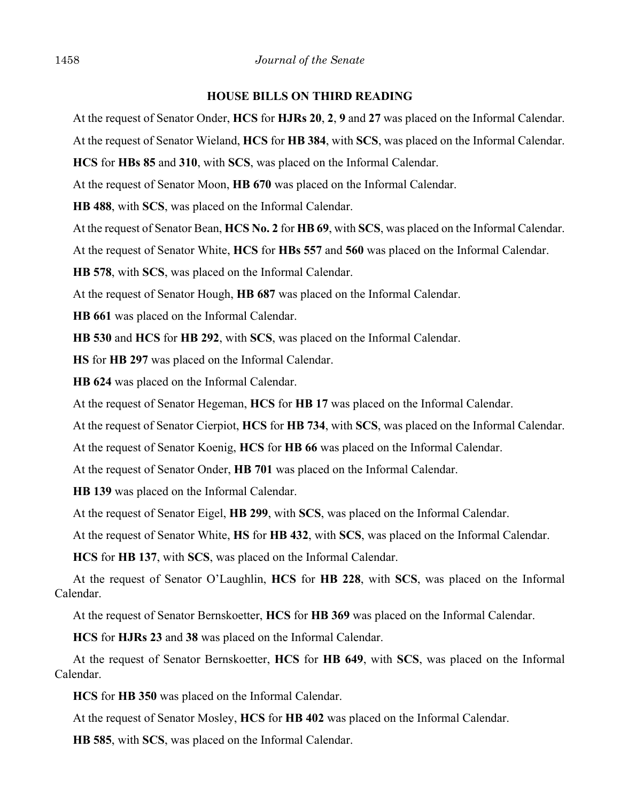#### **HOUSE BILLS ON THIRD READING**

At the request of Senator Onder, **HCS** for **HJRs 20**, **2**, **9** and **27** was placed on the Informal Calendar.

At the request of Senator Wieland, **HCS** for **HB 384**, with **SCS**, was placed on the Informal Calendar.

**HCS** for **HBs 85** and **310**, with **SCS**, was placed on the Informal Calendar.

At the request of Senator Moon, **HB 670** was placed on the Informal Calendar.

**HB 488**, with **SCS**, was placed on the Informal Calendar.

At the request of Senator Bean, **HCS No. 2** for **HB 69**, with **SCS**, was placed on the Informal Calendar.

At the request of Senator White, **HCS** for **HBs 557** and **560** was placed on the Informal Calendar.

**HB 578**, with **SCS**, was placed on the Informal Calendar.

At the request of Senator Hough, **HB 687** was placed on the Informal Calendar.

**HB 661** was placed on the Informal Calendar.

**HB 530** and **HCS** for **HB 292**, with **SCS**, was placed on the Informal Calendar.

**HS** for **HB 297** was placed on the Informal Calendar.

**HB 624** was placed on the Informal Calendar.

At the request of Senator Hegeman, **HCS** for **HB 17** was placed on the Informal Calendar.

At the request of Senator Cierpiot, **HCS** for **HB 734**, with **SCS**, was placed on the Informal Calendar.

At the request of Senator Koenig, **HCS** for **HB 66** was placed on the Informal Calendar.

At the request of Senator Onder, **HB 701** was placed on the Informal Calendar.

**HB 139** was placed on the Informal Calendar.

At the request of Senator Eigel, **HB 299**, with **SCS**, was placed on the Informal Calendar.

At the request of Senator White, **HS** for **HB 432**, with **SCS**, was placed on the Informal Calendar.

**HCS** for **HB 137**, with **SCS**, was placed on the Informal Calendar.

At the request of Senator O'Laughlin, **HCS** for **HB 228**, with **SCS**, was placed on the Informal Calendar.

At the request of Senator Bernskoetter, **HCS** for **HB 369** was placed on the Informal Calendar.

**HCS** for **HJRs 23** and **38** was placed on the Informal Calendar.

At the request of Senator Bernskoetter, **HCS** for **HB 649**, with **SCS**, was placed on the Informal Calendar.

**HCS** for **HB 350** was placed on the Informal Calendar.

At the request of Senator Mosley, **HCS** for **HB 402** was placed on the Informal Calendar.

**HB 585**, with **SCS**, was placed on the Informal Calendar.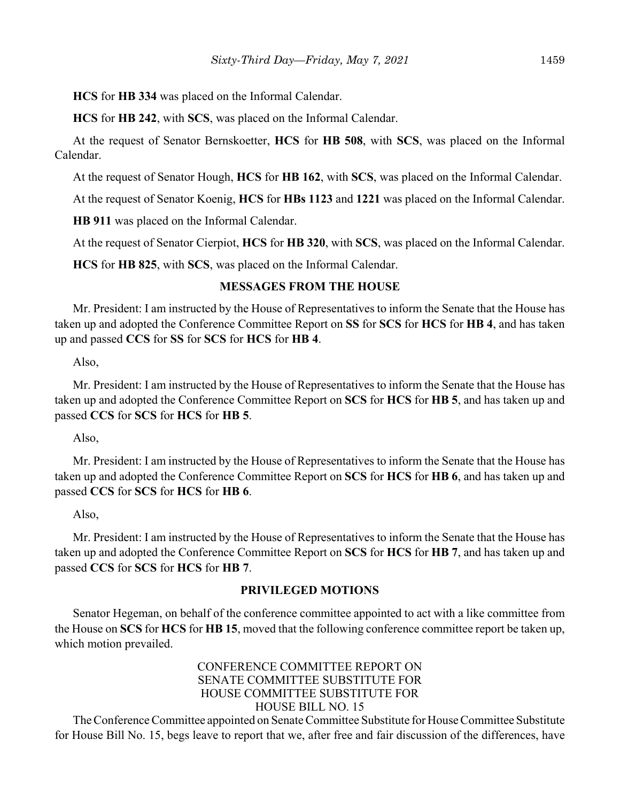**HCS** for **HB 334** was placed on the Informal Calendar.

**HCS** for **HB 242**, with **SCS**, was placed on the Informal Calendar.

At the request of Senator Bernskoetter, **HCS** for **HB 508**, with **SCS**, was placed on the Informal Calendar.

At the request of Senator Hough, **HCS** for **HB 162**, with **SCS**, was placed on the Informal Calendar.

At the request of Senator Koenig, **HCS** for **HBs 1123** and **1221** was placed on the Informal Calendar.

**HB 911** was placed on the Informal Calendar.

At the request of Senator Cierpiot, **HCS** for **HB 320**, with **SCS**, was placed on the Informal Calendar.

**HCS** for **HB 825**, with **SCS**, was placed on the Informal Calendar.

#### **MESSAGES FROM THE HOUSE**

Mr. President: I am instructed by the House of Representatives to inform the Senate that the House has taken up and adopted the Conference Committee Report on **SS** for **SCS** for **HCS** for **HB 4**, and has taken up and passed **CCS** for **SS** for **SCS** for **HCS** for **HB 4**.

#### Also,

Mr. President: I am instructed by the House of Representatives to inform the Senate that the House has taken up and adopted the Conference Committee Report on **SCS** for **HCS** for **HB 5**, and has taken up and passed **CCS** for **SCS** for **HCS** for **HB 5**.

Also,

Mr. President: I am instructed by the House of Representatives to inform the Senate that the House has taken up and adopted the Conference Committee Report on **SCS** for **HCS** for **HB 6**, and has taken up and passed **CCS** for **SCS** for **HCS** for **HB 6**.

Also,

Mr. President: I am instructed by the House of Representatives to inform the Senate that the House has taken up and adopted the Conference Committee Report on **SCS** for **HCS** for **HB 7**, and has taken up and passed **CCS** for **SCS** for **HCS** for **HB 7**.

## **PRIVILEGED MOTIONS**

Senator Hegeman, on behalf of the conference committee appointed to act with a like committee from the House on **SCS** for **HCS** for **HB 15**, moved that the following conference committee report be taken up, which motion prevailed.

## CONFERENCE COMMITTEE REPORT ON SENATE COMMITTEE SUBSTITUTE FOR HOUSE COMMITTEE SUBSTITUTE FOR HOUSE BILL NO. 15

The Conference Committee appointed on Senate Committee Substitute for House Committee Substitute for House Bill No. 15, begs leave to report that we, after free and fair discussion of the differences, have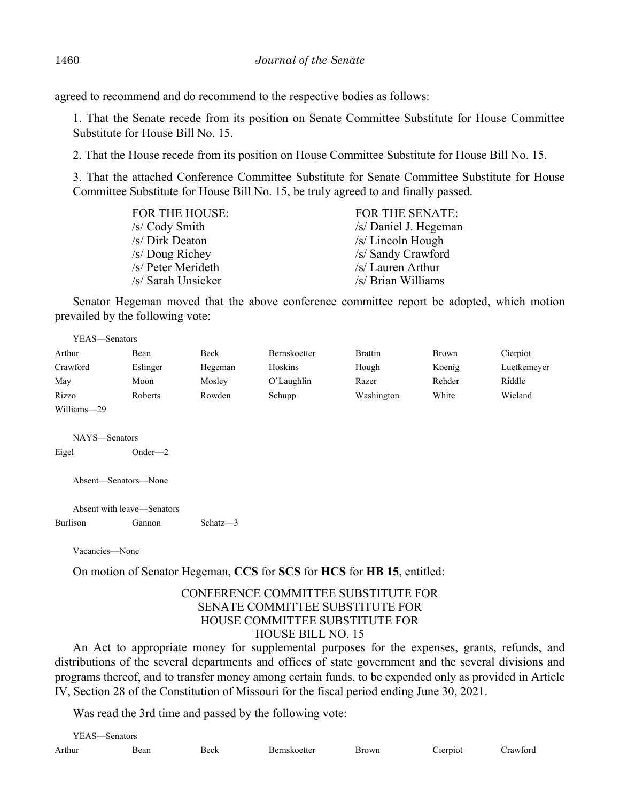agreed to recommend and do recommend to the respective bodies as follows:

1. That the Senate recede from its position on Senate Committee Substitute for House Committee Substitute for House Bill No. 15.

2. That the House recede from its position on House Committee Substitute for House Bill No. 15.

3. That the attached Conference Committee Substitute for Senate Committee Substitute for House Committee Substitute for House Bill No. 15, be truly agreed to and finally passed.

| <b>FOR THE HOUSE:</b> | <b>FOR THE SENATE:</b> |
|-----------------------|------------------------|
| /s/ Cody Smith        | /s/ Daniel J. Hegeman  |
| /s/ Dirk Deaton       | $/s/Lin$ coln Hough    |
| /s/ Doug Richey       | /s/ Sandy Crawford     |
| /s/ Peter Merideth    | /s/ Lauren Arthur      |
| /s/ Sarah Unsicker    | /s/ Brian Williams     |

Senator Hegeman moved that the above conference committee report be adopted, which motion prevailed by the following vote:

| YEAS—Senators |          |         |              |                |        |             |
|---------------|----------|---------|--------------|----------------|--------|-------------|
| Arthur        | Bean     | Beck    | Bernskoetter | <b>Brattin</b> | Brown  | Cierpiot    |
| Crawford      | Eslinger | Hegeman | Hoskins      | Hough          | Koenig | Luetkemeyer |
| May           | Moon     | Mosley  | O'Laughlin   | Razer          | Rehder | Riddle      |
| Rizzo         | Roberts  | Rowden  | Schupp       | Washington     | White  | Wieland     |
| Williams-29   |          |         |              |                |        |             |

NAYS—Senators Eigel Onder—2

Absent—Senators—None

Absent with leave—Senators Burlison Gannon Schatz—3

Vacancies—None

On motion of Senator Hegeman, **CCS** for **SCS** for **HCS** for **HB 15**, entitled:

## CONFERENCE COMMITTEE SUBSTITUTE FOR SENATE COMMITTEE SUBSTITUTE FOR HOUSE COMMITTEE SUBSTITUTE FOR HOUSE BILL NO. 15

An Act to appropriate money for supplemental purposes for the expenses, grants, refunds, and distributions of the several departments and offices of state government and the several divisions and programs thereof, and to transfer money among certain funds, to be expended only as provided in Article IV, Section 28 of the Constitution of Missouri for the fiscal period ending June 30, 2021.

Was read the 3rd time and passed by the following vote:

| VF A S.<br>senator <sup>e</sup> . |      |      |                     |                |                      |                                  |
|-----------------------------------|------|------|---------------------|----------------|----------------------|----------------------------------|
| Arthur                            | Bean | Beck | <b>Bernskoetter</b> | 3rowr<br>VV 11 | $- \cdot$<br>1erp10t | $\sim$ $\sim$<br>`rawt∩r<br>$ -$ |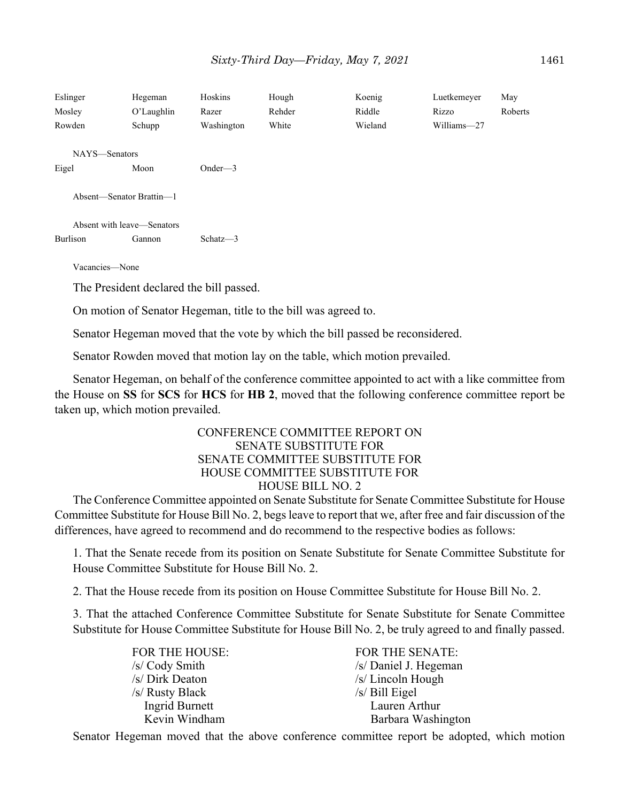| Eslinger<br>Mosley<br>Rowden | Hegeman<br>O'Laughlin<br>Schupp         | Hoskins<br>Razer<br>Washington | Hough<br>Rehder<br>White | Koenig<br>Riddle<br>Wieland | Luetkemeyer<br>Rizzo<br>Williams-27 | May<br>Roberts |
|------------------------------|-----------------------------------------|--------------------------------|--------------------------|-----------------------------|-------------------------------------|----------------|
| NAYS—Senators                |                                         |                                |                          |                             |                                     |                |
| Eigel                        | Moon                                    | Onder— $3$                     |                          |                             |                                     |                |
| Absent-Senator Brattin-1     |                                         |                                |                          |                             |                                     |                |
| Absent with leave—Senators   |                                         |                                |                          |                             |                                     |                |
| Burlison                     | Gannon                                  | Schatz $-3$                    |                          |                             |                                     |                |
| Vacancies-None               |                                         |                                |                          |                             |                                     |                |
|                              | The President declared the bill passed. |                                |                          |                             |                                     |                |

On motion of Senator Hegeman, title to the bill was agreed to.

Senator Hegeman moved that the vote by which the bill passed be reconsidered.

Senator Rowden moved that motion lay on the table, which motion prevailed.

Senator Hegeman, on behalf of the conference committee appointed to act with a like committee from the House on **SS** for **SCS** for **HCS** for **HB 2**, moved that the following conference committee report be taken up, which motion prevailed.

#### CONFERENCE COMMITTEE REPORT ON SENATE SUBSTITUTE FOR SENATE COMMITTEE SUBSTITUTE FOR HOUSE COMMITTEE SUBSTITUTE FOR HOUSE BILL NO. 2

The Conference Committee appointed on Senate Substitute for Senate Committee Substitute for House Committee Substitute for House Bill No. 2, begs leave to report that we, after free and fair discussion of the differences, have agreed to recommend and do recommend to the respective bodies as follows:

1. That the Senate recede from its position on Senate Substitute for Senate Committee Substitute for House Committee Substitute for House Bill No. 2.

2. That the House recede from its position on House Committee Substitute for House Bill No. 2.

3. That the attached Conference Committee Substitute for Senate Substitute for Senate Committee Substitute for House Committee Substitute for House Bill No. 2, be truly agreed to and finally passed.

| FOR THE HOUSE:        |  |
|-----------------------|--|
| /s/ Cody Smith        |  |
| /s/ Dirk Deaton       |  |
| /s/ Rusty Black       |  |
| <b>Ingrid Burnett</b> |  |
| Kevin Windham         |  |

FOR THE SENATE:  $/s$  Daniel J. Hegeman /s/ Lincoln Hough  $/s/$  Bill Eigel Lauren Arthur Barbara Washington

Senator Hegeman moved that the above conference committee report be adopted, which motion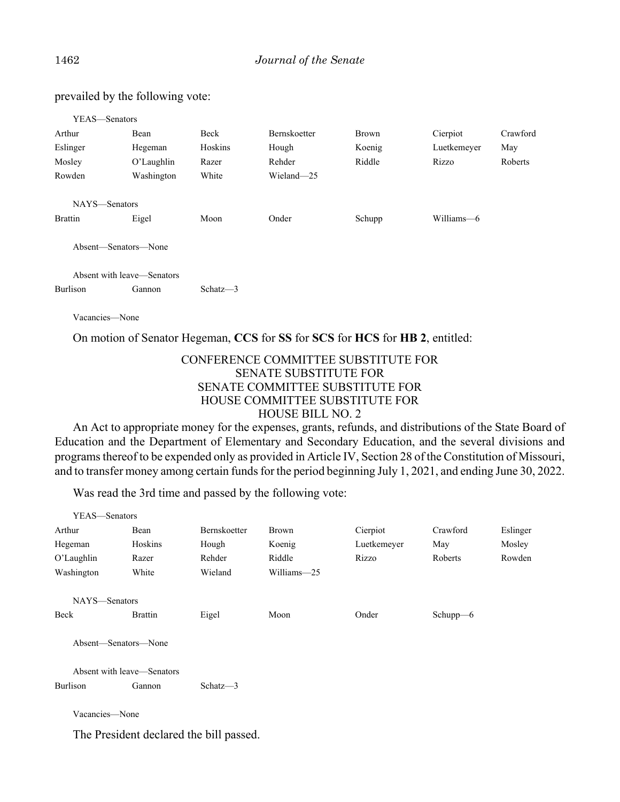YEAS—Senators Arthur Bean Beck Bernskoetter Brown Cierpiot Crawford Eslinger Hegeman Hoskins Hough Koenig Luetkemeyer May Mosley O'Laughlin Razer Rehder Riddle Rizzo Roberts Rowden Washington White Wieland—25 NAYS—Senators Brattin Eigel Moon Onder Schupp Williams—6 Absent—Senators—None Absent with leave—Senators Burlison Gannon Schatz—3

Vacancies—None

On motion of Senator Hegeman, **CCS** for **SS** for **SCS** for **HCS** for **HB 2**, entitled:

#### CONFERENCE COMMITTEE SUBSTITUTE FOR SENATE SUBSTITUTE FOR SENATE COMMITTEE SUBSTITUTE FOR HOUSE COMMITTEE SUBSTITUTE FOR HOUSE BILL NO. 2

An Act to appropriate money for the expenses, grants, refunds, and distributions of the State Board of Education and the Department of Elementary and Secondary Education, and the several divisions and programs thereof to be expended only as provided in Article IV, Section 28 of the Constitution of Missouri, and to transfer money among certain funds for the period beginning July 1, 2021, and ending June 30, 2022.

Was read the 3rd time and passed by the following vote:

| YEAS-Senators  |                            |                                         |              |             |              |          |
|----------------|----------------------------|-----------------------------------------|--------------|-------------|--------------|----------|
| Arthur         | Bean                       | Bernskoetter                            | <b>Brown</b> | Cierpiot    | Crawford     | Eslinger |
| Hegeman        | Hoskins                    | Hough                                   | Koenig       | Luetkemeyer | May          | Mosley   |
| O'Laughlin     | Razer                      | Rehder                                  | Riddle       | Rizzo       | Roberts      | Rowden   |
| Washington     | White                      | Wieland                                 | Williams-25  |             |              |          |
| NAYS-Senators  |                            |                                         |              |             |              |          |
| Beck           | <b>Brattin</b>             | Eigel                                   | Moon         | Onder       | Schup $p$ –6 |          |
|                | Absent-Senators-None       |                                         |              |             |              |          |
|                | Absent with leave—Senators |                                         |              |             |              |          |
| Burlison       | Gannon                     | Schatz $-3$                             |              |             |              |          |
| Vacancies-None |                            |                                         |              |             |              |          |
|                |                            | The President declared the bill passed. |              |             |              |          |

prevailed by the following vote: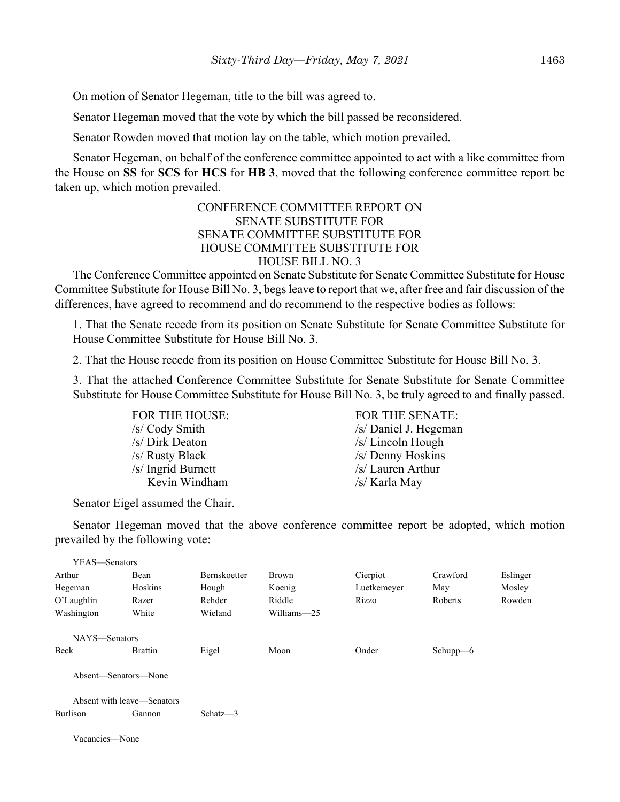On motion of Senator Hegeman, title to the bill was agreed to.

Senator Hegeman moved that the vote by which the bill passed be reconsidered.

Senator Rowden moved that motion lay on the table, which motion prevailed.

Senator Hegeman, on behalf of the conference committee appointed to act with a like committee from the House on **SS** for **SCS** for **HCS** for **HB 3**, moved that the following conference committee report be taken up, which motion prevailed.

#### CONFERENCE COMMITTEE REPORT ON SENATE SUBSTITUTE FOR SENATE COMMITTEE SUBSTITUTE FOR HOUSE COMMITTEE SUBSTITUTE FOR HOUSE BILL NO. 3

The Conference Committee appointed on Senate Substitute for Senate Committee Substitute for House Committee Substitute for House Bill No. 3, begs leave to report that we, after free and fair discussion of the differences, have agreed to recommend and do recommend to the respective bodies as follows:

1. That the Senate recede from its position on Senate Substitute for Senate Committee Substitute for House Committee Substitute for House Bill No. 3.

2. That the House recede from its position on House Committee Substitute for House Bill No. 3.

3. That the attached Conference Committee Substitute for Senate Substitute for Senate Committee Substitute for House Committee Substitute for House Bill No. 3, be truly agreed to and finally passed.

> /s/ Dirk Deaton /s/ Lincoln Hough /s/ Rusty Black /s/ Denny Hoskins /s/ Ingrid Burnett /s/ Lauren Arthur Kevin Windham /s/ Karla May

FOR THE HOUSE: FOR THE SENATE: /s/ Cody Smith /s/ Daniel J. Hegeman

Senator Eigel assumed the Chair.

Senator Hegeman moved that the above conference committee report be adopted, which motion prevailed by the following vote:

| YEAS—Senators  |                            |              |             |             |              |          |
|----------------|----------------------------|--------------|-------------|-------------|--------------|----------|
| Arthur         | Bean                       | Bernskoetter | Brown       | Cierpiot    | Crawford     | Eslinger |
| Hegeman        | Hoskins                    | Hough        | Koenig      | Luetkemeyer | May          | Mosley   |
| $O'$ Laughlin  | Razer                      | Rehder       | Riddle      | Rizzo       | Roberts      | Rowden   |
| Washington     | White                      | Wieland      | Williams-25 |             |              |          |
| NAYS-Senators  |                            |              |             |             |              |          |
| Beck           | <b>Brattin</b>             | Eigel        | Moon        | Onder       | Schup $p$ –6 |          |
|                | Absent-Senators-None       |              |             |             |              |          |
|                | Absent with leave—Senators |              |             |             |              |          |
| Burlison       | Gannon                     | Schatz $-3$  |             |             |              |          |
| Vacancies—None |                            |              |             |             |              |          |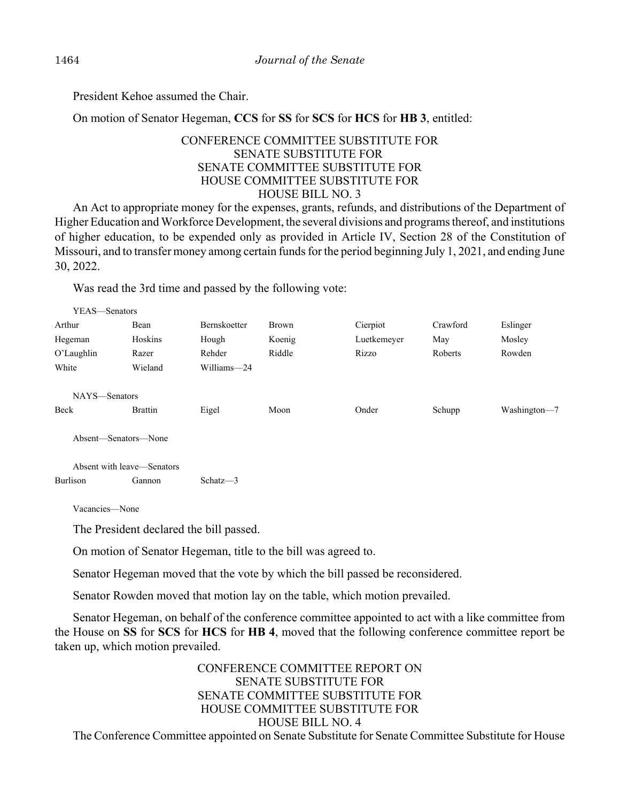President Kehoe assumed the Chair.

On motion of Senator Hegeman, **CCS** for **SS** for **SCS** for **HCS** for **HB 3**, entitled:

## CONFERENCE COMMITTEE SUBSTITUTE FOR SENATE SUBSTITUTE FOR SENATE COMMITTEE SUBSTITUTE FOR HOUSE COMMITTEE SUBSTITUTE FOR HOUSE BILL NO. 3

An Act to appropriate money for the expenses, grants, refunds, and distributions of the Department of Higher Education and Workforce Development, the several divisions and programs thereof, and institutions of higher education, to be expended only as provided in Article IV, Section 28 of the Constitution of Missouri, and to transfer money among certain funds for the period beginning July 1, 2021, and ending June 30, 2022.

Was read the 3rd time and passed by the following vote:

| YEAS—Senators |                      |                     |              |             |          |              |
|---------------|----------------------|---------------------|--------------|-------------|----------|--------------|
| Arthur        | Bean                 | <b>Bernskoetter</b> | <b>Brown</b> | Cierpiot    | Crawford | Eslinger     |
| Hegeman       | Hoskins              | Hough               | Koenig       | Luetkemeyer | May      | Mosley       |
| O'Laughlin    | Razer                | Rehder              | Riddle       | Rizzo       | Roberts  | Rowden       |
| White         | Wieland              | Williams-24         |              |             |          |              |
|               |                      |                     |              |             |          |              |
| NAYS—Senators |                      |                     |              |             |          |              |
| Beck          | <b>Brattin</b>       | Eigel               | Moon         | Onder       | Schupp   | Washington-7 |
|               |                      |                     |              |             |          |              |
|               | Absent—Senators—None |                     |              |             |          |              |
|               |                      |                     |              |             |          |              |

Absent with leave—Senators Burlison Gannon Schatz—3

Vacancies—None

The President declared the bill passed.

On motion of Senator Hegeman, title to the bill was agreed to.

Senator Hegeman moved that the vote by which the bill passed be reconsidered.

Senator Rowden moved that motion lay on the table, which motion prevailed.

Senator Hegeman, on behalf of the conference committee appointed to act with a like committee from the House on **SS** for **SCS** for **HCS** for **HB 4**, moved that the following conference committee report be taken up, which motion prevailed.

CONFERENCE COMMITTEE REPORT ON SENATE SUBSTITUTE FOR SENATE COMMITTEE SUBSTITUTE FOR HOUSE COMMITTEE SUBSTITUTE FOR HOUSE BILL NO. 4 The Conference Committee appointed on Senate Substitute for Senate Committee Substitute for House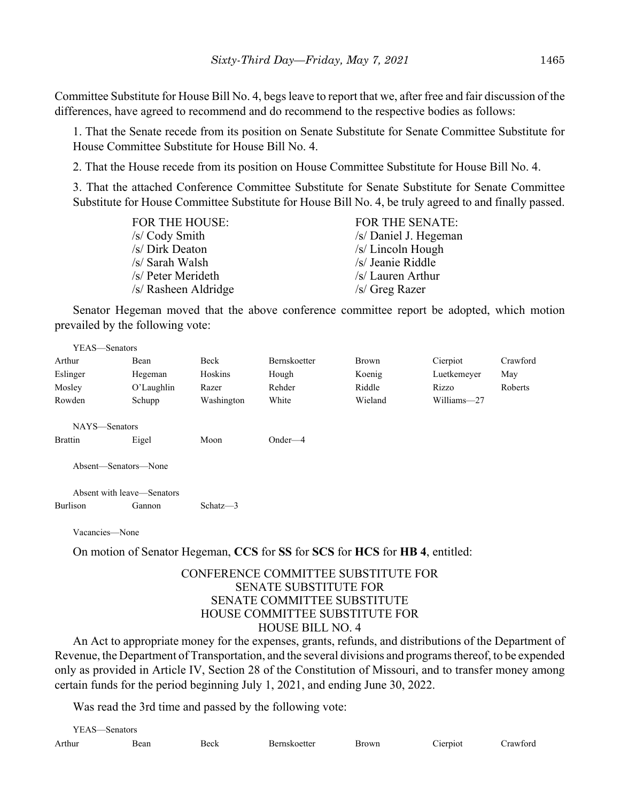Committee Substitute for House Bill No. 4, begs leave to report that we, after free and fair discussion of the differences, have agreed to recommend and do recommend to the respective bodies as follows:

1. That the Senate recede from its position on Senate Substitute for Senate Committee Substitute for House Committee Substitute for House Bill No. 4.

2. That the House recede from its position on House Committee Substitute for House Bill No. 4.

3. That the attached Conference Committee Substitute for Senate Substitute for Senate Committee Substitute for House Committee Substitute for House Bill No. 4, be truly agreed to and finally passed.

| FOR THE HOUSE:       | FOR THE SENATE:       |
|----------------------|-----------------------|
| /s/ Cody Smith       | /s/ Daniel J. Hegeman |
| /s/ Dirk Deaton      | $/s/Lin$ coln Hough   |
| /s/ Sarah Walsh      | /s/ Jeanie Riddle     |
| /s/ Peter Merideth   | /s/ Lauren Arthur     |
| /s/ Rasheen Aldridge | $/s$ Greg Razer       |

Senator Hegeman moved that the above conference committee report be adopted, which motion prevailed by the following vote:

| YEAS—Senators        |                                      |             |                                                                              |         |             |          |
|----------------------|--------------------------------------|-------------|------------------------------------------------------------------------------|---------|-------------|----------|
| Arthur               | Bean                                 | Beck        | Bernskoetter                                                                 | Brown   | Cierpiot    | Crawford |
| Eslinger             | Hegeman                              | Hoskins     | Hough                                                                        | Koenig  | Luetkemeyer | May      |
| Mosley               | $O'$ Laughlin                        | Razer       | Rehder                                                                       | Riddle  | Rizzo       | Roberts  |
| Rowden               | Schupp                               | Washington  | White                                                                        | Wieland | Williams-27 |          |
| NAYS-Senators        |                                      |             |                                                                              |         |             |          |
| <b>Brattin</b>       | Eigel                                | Moon        | $Onder-4$                                                                    |         |             |          |
| Absent—Senators—None |                                      |             |                                                                              |         |             |          |
| Burlison             | Absent with leave—Senators<br>Gannon | Schatz $-3$ |                                                                              |         |             |          |
| Vacancies-None       |                                      |             |                                                                              |         |             |          |
|                      |                                      |             | On motion of Senator Hegeman, CCS for SS for SCS for HCS for HB 4, entitled: |         |             |          |
|                      |                                      |             | CONFERENCE COMMITTEE SUBSTITUTE FOR<br><b>SENATE SUBSTITUTE FOR</b>          |         |             |          |

# SENATE SUBSTITUTE FOR SENATE COMMITTEE SUBSTITUTE HOUSE COMMITTEE SUBSTITUTE FOR HOUSE BILL NO. 4

An Act to appropriate money for the expenses, grants, refunds, and distributions of the Department of Revenue, the Department of Transportation, and the several divisions and programs thereof, to be expended only as provided in Article IV, Section 28 of the Constitution of Missouri, and to transfer money among certain funds for the period beginning July 1, 2021, and ending June 30, 2022.

Was read the 3rd time and passed by the following vote:

| $VFAS$ <sub>--</sub> | $S$ enators |        |                    |       |            |          |
|----------------------|-------------|--------|--------------------|-------|------------|----------|
| Arthur               | Bean        | - Bech | <b>Remskoetter</b> | 3rown | $- \cdot$  | `rawford |
|                      |             |        |                    |       | $C$ erptot |          |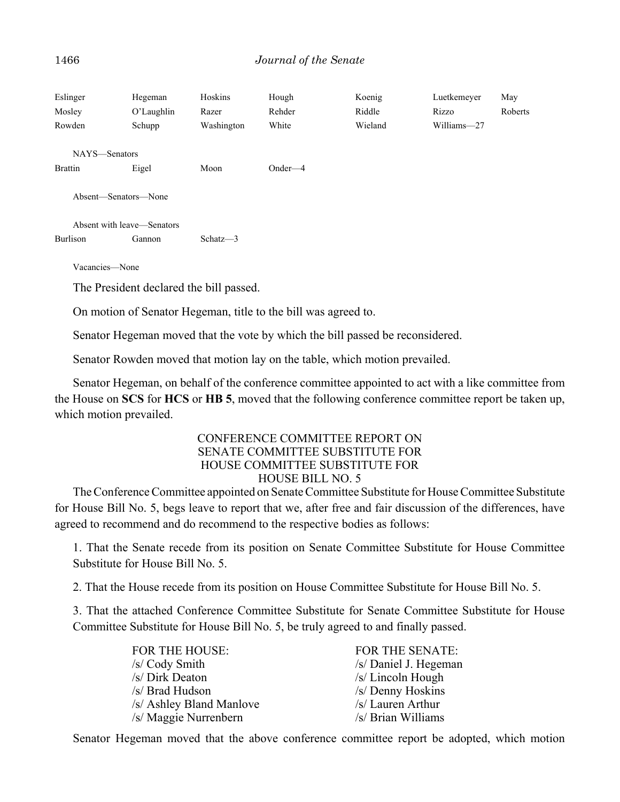| Eslinger<br>Mosley<br>Rowden                              | Hegeman<br>O'Laughlin<br>Schupp | Hoskins<br>Razer<br>Washington | Hough<br>Rehder<br>White | Koenig<br>Riddle<br>Wieland | Luetkemeyer<br>Rizzo<br>Williams-27 | May<br>Roberts |
|-----------------------------------------------------------|---------------------------------|--------------------------------|--------------------------|-----------------------------|-------------------------------------|----------------|
| NAYS-Senators                                             |                                 |                                |                          |                             |                                     |                |
| <b>Brattin</b>                                            | Eigel                           | Moon                           | $Onder-4$                |                             |                                     |                |
| Absent-Senators-None                                      |                                 |                                |                          |                             |                                     |                |
| Absent with leave—Senators                                |                                 |                                |                          |                             |                                     |                |
| Burlison                                                  | Gannon                          | Schatz $-3$                    |                          |                             |                                     |                |
| Vacancies-None<br>The President declared the bill passed. |                                 |                                |                          |                             |                                     |                |

On motion of Senator Hegeman, title to the bill was agreed to.

Senator Hegeman moved that the vote by which the bill passed be reconsidered.

Senator Rowden moved that motion lay on the table, which motion prevailed.

Senator Hegeman, on behalf of the conference committee appointed to act with a like committee from the House on **SCS** for **HCS** or **HB 5**, moved that the following conference committee report be taken up, which motion prevailed.

## CONFERENCE COMMITTEE REPORT ON SENATE COMMITTEE SUBSTITUTE FOR HOUSE COMMITTEE SUBSTITUTE FOR HOUSE BILL NO. 5

The Conference Committee appointed on Senate Committee Substitute for House Committee Substitute for House Bill No. 5, begs leave to report that we, after free and fair discussion of the differences, have agreed to recommend and do recommend to the respective bodies as follows:

1. That the Senate recede from its position on Senate Committee Substitute for House Committee Substitute for House Bill No. 5.

2. That the House recede from its position on House Committee Substitute for House Bill No. 5.

3. That the attached Conference Committee Substitute for Senate Committee Substitute for House Committee Substitute for House Bill No. 5, be truly agreed to and finally passed.

| FOR THE HOUSE:           | <b>FOR THE SENATE:</b> |
|--------------------------|------------------------|
| /s/ Cody Smith           | /s/ Daniel J. Hegeman  |
| /s/ Dirk Deaton          | /s/ Lincoln Hough      |
| /s/ Brad Hudson          | /s/ Denny Hoskins      |
| /s/ Ashley Bland Manlove | /s/ Lauren Arthur      |
| /s/ Maggie Nurrenbern    | /s/ Brian Williams     |

Senator Hegeman moved that the above conference committee report be adopted, which motion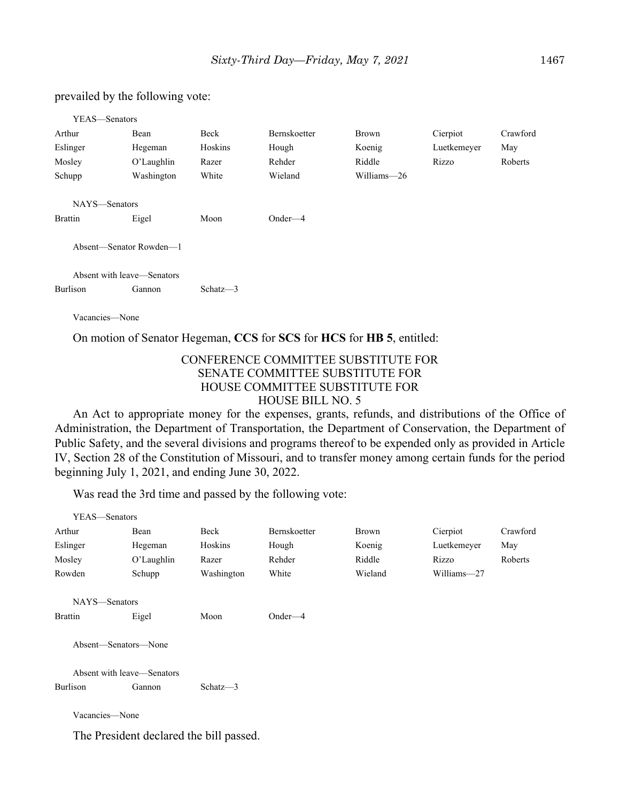#### prevailed by the following vote:

| YEAS—Senators              |            |             |                     |             |             |          |
|----------------------------|------------|-------------|---------------------|-------------|-------------|----------|
| Arthur                     | Bean       | Beck        | <b>Bernskoetter</b> | Brown       | Cierpiot    | Crawford |
| Eslinger                   | Hegeman    | Hoskins     | Hough               | Koenig      | Luetkemeyer | May      |
| Mosley                     | O'Laughlin | Razer       | Rehder              | Riddle      | Rizzo       | Roberts  |
| Schupp                     | Washington | White       | Wieland             | Williams-26 |             |          |
|                            |            |             |                     |             |             |          |
| NAYS-Senators              |            |             |                     |             |             |          |
| <b>Brattin</b>             | Eigel      | Moon        | $Onder-4$           |             |             |          |
| Absent-Senator Rowden-1    |            |             |                     |             |             |          |
| Absent with leave—Senators |            |             |                     |             |             |          |
| Burlison                   | Gannon     | Schatz $-3$ |                     |             |             |          |
|                            |            |             |                     |             |             |          |

Vacancies—None

On motion of Senator Hegeman, **CCS** for **SCS** for **HCS** for **HB 5**, entitled:

#### CONFERENCE COMMITTEE SUBSTITUTE FOR SENATE COMMITTEE SUBSTITUTE FOR HOUSE COMMITTEE SUBSTITUTE FOR HOUSE BILL NO. 5

An Act to appropriate money for the expenses, grants, refunds, and distributions of the Office of Administration, the Department of Transportation, the Department of Conservation, the Department of Public Safety, and the several divisions and programs thereof to be expended only as provided in Article IV, Section 28 of the Constitution of Missouri, and to transfer money among certain funds for the period beginning July 1, 2021, and ending June 30, 2022.

Was read the 3rd time and passed by the following vote:

| YEAS-Senators              |            |             |              |         |             |          |
|----------------------------|------------|-------------|--------------|---------|-------------|----------|
| Arthur                     | Bean       | Beck        | Bernskoetter | Brown   | Cierpiot    | Crawford |
| Eslinger                   | Hegeman    | Hoskins     | Hough        | Koenig  | Luetkemeyer | May      |
| Mosley                     | O'Laughlin | Razer       | Rehder       | Riddle  | Rizzo       | Roberts  |
| Rowden                     | Schupp     | Washington  | White        | Wieland | Williams-27 |          |
| NAYS-Senators              |            |             |              |         |             |          |
| <b>Brattin</b>             | Eigel      | Moon        | $Onder-4$    |         |             |          |
| Absent—Senators—None       |            |             |              |         |             |          |
| Absent with leave—Senators |            |             |              |         |             |          |
| Burlison                   | Gannon     | Schatz $-3$ |              |         |             |          |
| Vacancies-None             |            |             |              |         |             |          |

The President declared the bill passed.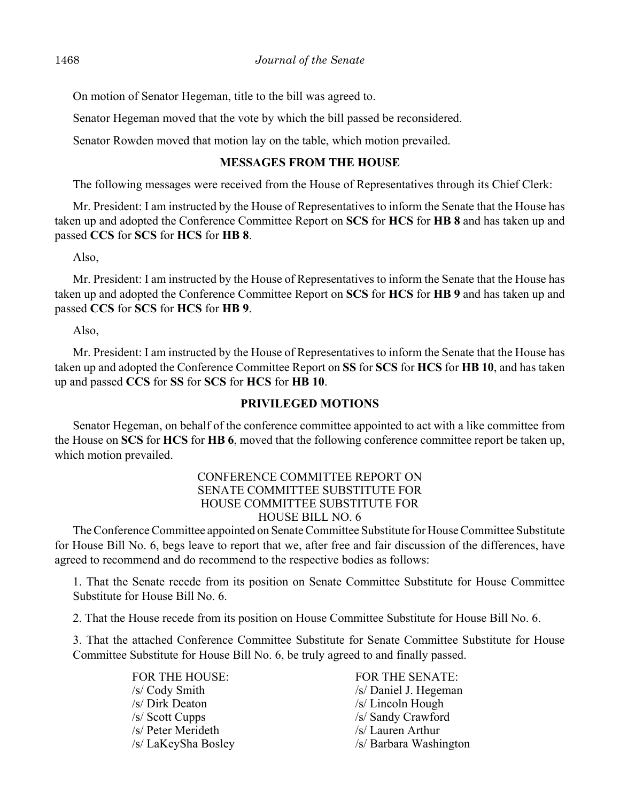On motion of Senator Hegeman, title to the bill was agreed to.

Senator Hegeman moved that the vote by which the bill passed be reconsidered.

Senator Rowden moved that motion lay on the table, which motion prevailed.

## **MESSAGES FROM THE HOUSE**

The following messages were received from the House of Representatives through its Chief Clerk:

Mr. President: I am instructed by the House of Representatives to inform the Senate that the House has taken up and adopted the Conference Committee Report on **SCS** for **HCS** for **HB 8** and has taken up and passed **CCS** for **SCS** for **HCS** for **HB 8**.

Also,

Mr. President: I am instructed by the House of Representatives to inform the Senate that the House has taken up and adopted the Conference Committee Report on **SCS** for **HCS** for **HB 9** and has taken up and passed **CCS** for **SCS** for **HCS** for **HB 9**.

Also,

Mr. President: I am instructed by the House of Representatives to inform the Senate that the House has taken up and adopted the Conference Committee Report on **SS** for **SCS** for **HCS** for **HB 10**, and has taken up and passed **CCS** for **SS** for **SCS** for **HCS** for **HB 10**.

#### **PRIVILEGED MOTIONS**

Senator Hegeman, on behalf of the conference committee appointed to act with a like committee from the House on **SCS** for **HCS** for **HB 6**, moved that the following conference committee report be taken up, which motion prevailed.

#### CONFERENCE COMMITTEE REPORT ON SENATE COMMITTEE SUBSTITUTE FOR HOUSE COMMITTEE SUBSTITUTE FOR HOUSE BILL NO. 6

The Conference Committee appointed on Senate Committee Substitute for House Committee Substitute for House Bill No. 6, begs leave to report that we, after free and fair discussion of the differences, have agreed to recommend and do recommend to the respective bodies as follows:

1. That the Senate recede from its position on Senate Committee Substitute for House Committee Substitute for House Bill No. 6.

2. That the House recede from its position on House Committee Substitute for House Bill No. 6.

3. That the attached Conference Committee Substitute for Senate Committee Substitute for House Committee Substitute for House Bill No. 6, be truly agreed to and finally passed.

> /s/ Dirk Deaton /s/ Lincoln Hough /s/ Scott Cupps /s/ Sandy Crawford /s/ Peter Merideth /s/ Lauren Arthur

FOR THE HOUSE: FOR THE SENATE: /s/ Cody Smith /s/ Daniel J. Hegeman /s/ LaKeySha Bosley /s/ Barbara Washington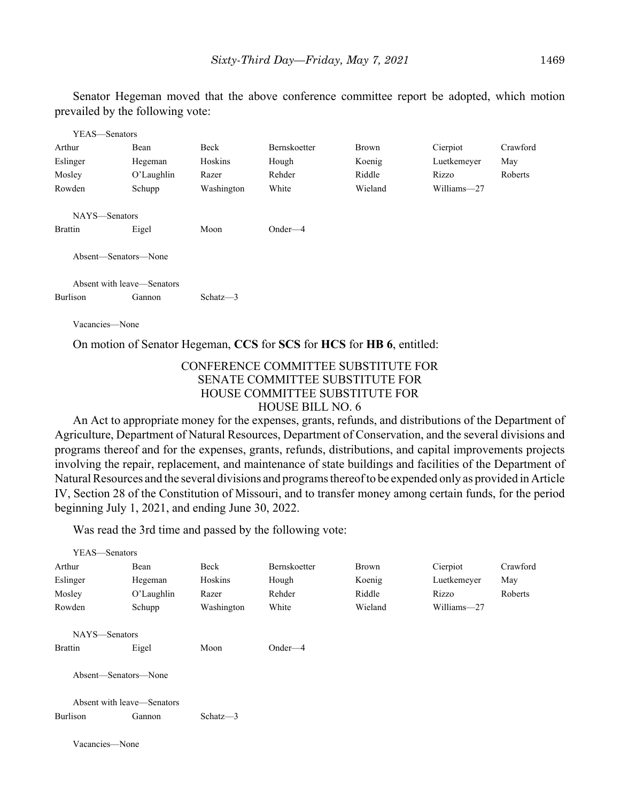Senator Hegeman moved that the above conference committee report be adopted, which motion prevailed by the following vote:

| YEAS—Senators  |                            |             |              |              |             |          |
|----------------|----------------------------|-------------|--------------|--------------|-------------|----------|
| Arthur         | Bean                       | Beck        | Bernskoetter | <b>Brown</b> | Cierpiot    | Crawford |
| Eslinger       | Hegeman                    | Hoskins     | Hough        | Koenig       | Luetkemeyer | May      |
| Mosley         | O'Laughlin                 | Razer       | Rehder       | Riddle       | Rizzo       | Roberts  |
| Rowden         | Schupp                     | Washington  | White        | Wieland      | Williams-27 |          |
| NAYS-Senators  |                            |             |              |              |             |          |
| <b>Brattin</b> | Eigel                      | Moon        | $Onder-4$    |              |             |          |
|                | Absent—Senators—None       |             |              |              |             |          |
|                | Absent with leave-Senators |             |              |              |             |          |
| Burlison       | Gannon                     | Schatz $-3$ |              |              |             |          |
| Vacancies—None |                            |             |              |              |             |          |

On motion of Senator Hegeman, **CCS** for **SCS** for **HCS** for **HB 6**, entitled:

#### CONFERENCE COMMITTEE SUBSTITUTE FOR SENATE COMMITTEE SUBSTITUTE FOR HOUSE COMMITTEE SUBSTITUTE FOR HOUSE BILL NO. 6

An Act to appropriate money for the expenses, grants, refunds, and distributions of the Department of Agriculture, Department of Natural Resources, Department of Conservation, and the several divisions and programs thereof and for the expenses, grants, refunds, distributions, and capital improvements projects involving the repair, replacement, and maintenance of state buildings and facilities of the Department of Natural Resources and the several divisions and programs thereof to be expended only as provided in Article IV, Section 28 of the Constitution of Missouri, and to transfer money among certain funds, for the period beginning July 1, 2021, and ending June 30, 2022.

Was read the 3rd time and passed by the following vote:

| YEAS—Senators              |                      |             |              |         |             |          |
|----------------------------|----------------------|-------------|--------------|---------|-------------|----------|
| Arthur                     | Bean                 | Beck        | Bernskoetter | Brown   | Cierpiot    | Crawford |
| Eslinger                   | Hegeman              | Hoskins     | Hough        | Koenig  | Luetkemeyer | May      |
| Mosley                     | O'Laughlin           | Razer       | Rehder       | Riddle  | Rizzo       | Roberts  |
| Rowden                     | Schupp               | Washington  | White        | Wieland | Williams-27 |          |
| NAYS-Senators              |                      |             |              |         |             |          |
| <b>Brattin</b>             | Eigel                | Moon        | $Onder-4$    |         |             |          |
|                            | Absent—Senators—None |             |              |         |             |          |
| Absent with leave—Senators |                      |             |              |         |             |          |
| Burlison                   | Gannon               | Schatz $-3$ |              |         |             |          |
| Vacancies—None             |                      |             |              |         |             |          |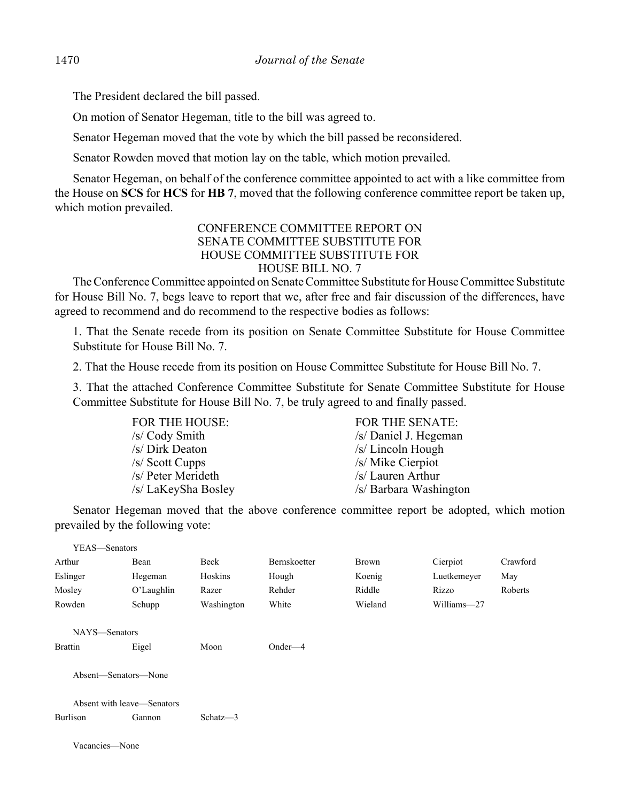The President declared the bill passed.

On motion of Senator Hegeman, title to the bill was agreed to.

Senator Hegeman moved that the vote by which the bill passed be reconsidered.

Senator Rowden moved that motion lay on the table, which motion prevailed.

Senator Hegeman, on behalf of the conference committee appointed to act with a like committee from the House on **SCS** for **HCS** for **HB 7**, moved that the following conference committee report be taken up, which motion prevailed.

#### CONFERENCE COMMITTEE REPORT ON SENATE COMMITTEE SUBSTITUTE FOR HOUSE COMMITTEE SUBSTITUTE FOR HOUSE BILL NO. 7

The Conference Committee appointed on Senate Committee Substitute for House Committee Substitute for House Bill No. 7, begs leave to report that we, after free and fair discussion of the differences, have agreed to recommend and do recommend to the respective bodies as follows:

1. That the Senate recede from its position on Senate Committee Substitute for House Committee Substitute for House Bill No. 7.

2. That the House recede from its position on House Committee Substitute for House Bill No. 7.

3. That the attached Conference Committee Substitute for Senate Committee Substitute for House Committee Substitute for House Bill No. 7, be truly agreed to and finally passed.

| <b>FOR THE HOUSE:</b> | FOR THE SENATE:        |
|-----------------------|------------------------|
| /s/ Cody Smith        | /s/ Daniel J. Hegeman  |
| /s/ Dirk Deaton       | $/s/Lin$ coln Hough    |
| /s/ Scott Cupps       | /s/ Mike Cierpiot      |
| /s/ Peter Merideth    | /s/ Lauren Arthur      |
| /s/ LaKeySha Bosley   | /s/ Barbara Washington |

Senator Hegeman moved that the above conference committee report be adopted, which motion prevailed by the following vote:

| YEAS—Senators              |                      |             |                     |         |             |          |
|----------------------------|----------------------|-------------|---------------------|---------|-------------|----------|
| Arthur                     | Bean                 | Beck        | <b>Bernskoetter</b> | Brown   | Cierpiot    | Crawford |
| Eslinger                   | Hegeman              | Hoskins     | Hough               | Koenig  | Luetkemeyer | May      |
| Mosley                     | O'Laughlin           | Razer       | Rehder              | Riddle  | Rizzo       | Roberts  |
| Rowden                     | Schupp               | Washington  | White               | Wieland | Williams-27 |          |
| NAYS-Senators              |                      |             |                     |         |             |          |
| <b>Brattin</b>             | Eigel                | Moon        | $Onder-4$           |         |             |          |
|                            | Absent—Senators—None |             |                     |         |             |          |
| Absent with leave—Senators |                      |             |                     |         |             |          |
| <b>Burlison</b>            | Gannon               | Schatz $-3$ |                     |         |             |          |
| Vacancies—None             |                      |             |                     |         |             |          |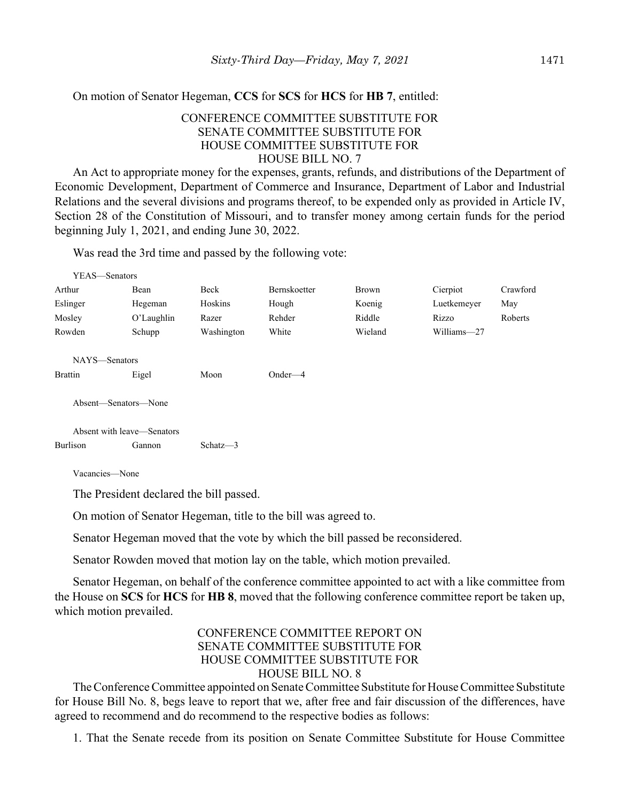On motion of Senator Hegeman, **CCS** for **SCS** for **HCS** for **HB 7**, entitled:

#### CONFERENCE COMMITTEE SUBSTITUTE FOR SENATE COMMITTEE SUBSTITUTE FOR HOUSE COMMITTEE SUBSTITUTE FOR HOUSE BILL NO. 7

An Act to appropriate money for the expenses, grants, refunds, and distributions of the Department of Economic Development, Department of Commerce and Insurance, Department of Labor and Industrial Relations and the several divisions and programs thereof, to be expended only as provided in Article IV, Section 28 of the Constitution of Missouri, and to transfer money among certain funds for the period beginning July 1, 2021, and ending June 30, 2022.

Was read the 3rd time and passed by the following vote:

| YEAS-Senators              |               |             |                     |         |             |          |
|----------------------------|---------------|-------------|---------------------|---------|-------------|----------|
| Arthur                     | Bean          | Beck        | <b>Bernskoetter</b> | Brown   | Cierpiot    | Crawford |
| Eslinger                   | Hegeman       | Hoskins     | Hough               | Koenig  | Luetkemeyer | May      |
| Mosley                     | $O'$ Laughlin | Razer       | Rehder              | Riddle  | Rizzo       | Roberts  |
| Rowden                     | Schupp        | Washington  | White               | Wieland | Williams-27 |          |
| NAYS-Senators              |               |             |                     |         |             |          |
| <b>Brattin</b>             | Eigel         | Moon        | Onder $-4$          |         |             |          |
| Absent—Senators—None       |               |             |                     |         |             |          |
| Absent with leave—Senators |               |             |                     |         |             |          |
| Burlison                   | Gannon        | Schatz $-3$ |                     |         |             |          |

Vacancies—None

The President declared the bill passed.

On motion of Senator Hegeman, title to the bill was agreed to.

Senator Hegeman moved that the vote by which the bill passed be reconsidered.

Senator Rowden moved that motion lay on the table, which motion prevailed.

Senator Hegeman, on behalf of the conference committee appointed to act with a like committee from the House on **SCS** for **HCS** for **HB 8**, moved that the following conference committee report be taken up, which motion prevailed.

#### CONFERENCE COMMITTEE REPORT ON SENATE COMMITTEE SUBSTITUTE FOR HOUSE COMMITTEE SUBSTITUTE FOR HOUSE BILL NO. 8

The Conference Committee appointed on Senate Committee Substitute for House Committee Substitute for House Bill No. 8, begs leave to report that we, after free and fair discussion of the differences, have agreed to recommend and do recommend to the respective bodies as follows:

1. That the Senate recede from its position on Senate Committee Substitute for House Committee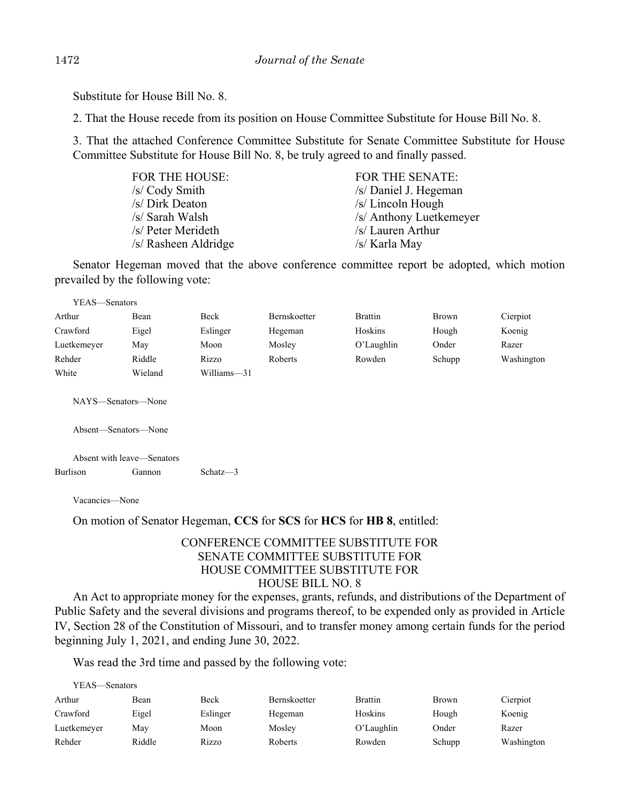Substitute for House Bill No. 8.

2. That the House recede from its position on House Committee Substitute for House Bill No. 8.

3. That the attached Conference Committee Substitute for Senate Committee Substitute for House Committee Substitute for House Bill No. 8, be truly agreed to and finally passed.

| <b>FOR THE HOUSE:</b> | <b>FOR THE SENATE:</b>  |
|-----------------------|-------------------------|
| /s/ Cody Smith        | /s/ Daniel J. Hegeman   |
| /s/ Dirk Deaton       | /s/ Lincoln Hough       |
| /s/ Sarah Walsh       | /s/ Anthony Luetkemeyer |
| /s/ Peter Merideth    | /s/ Lauren Arthur       |
| /s/ Rasheen Aldridge  | /s/ Karla May           |

Senator Hegeman moved that the above conference committee report be adopted, which motion prevailed by the following vote:

| YEAS—Senators                              |         |             |                     |                |        |            |  |
|--------------------------------------------|---------|-------------|---------------------|----------------|--------|------------|--|
| Arthur                                     | Bean    | Beck        | <b>Bernskoetter</b> | <b>Brattin</b> | Brown  | Cierpiot   |  |
| Crawford                                   | Eigel   | Eslinger    | Hegeman             | Hoskins        | Hough  | Koenig     |  |
| Luetkemeyer                                | May     | Moon        | Mosley              | O'Laughlin     | Onder  | Razer      |  |
| Rehder                                     | Riddle  | Rizzo       | Roberts             | Rowden         | Schupp | Washington |  |
| White                                      | Wieland | Williams-31 |                     |                |        |            |  |
| NAYS-Senators-None<br>Absent—Senators—None |         |             |                     |                |        |            |  |
| Absent with leave—Senators                 |         |             |                     |                |        |            |  |
| Burlison                                   | Gannon  | Schatz $-3$ |                     |                |        |            |  |
|                                            |         |             |                     |                |        |            |  |

Vacancies—None

On motion of Senator Hegeman, **CCS** for **SCS** for **HCS** for **HB 8**, entitled:

## CONFERENCE COMMITTEE SUBSTITUTE FOR SENATE COMMITTEE SUBSTITUTE FOR HOUSE COMMITTEE SUBSTITUTE FOR HOUSE BILL NO. 8

An Act to appropriate money for the expenses, grants, refunds, and distributions of the Department of Public Safety and the several divisions and programs thereof, to be expended only as provided in Article IV, Section 28 of the Constitution of Missouri, and to transfer money among certain funds for the period beginning July 1, 2021, and ending June 30, 2022.

Was read the 3rd time and passed by the following vote:

| YEAS—Senators |  |
|---------------|--|
|               |  |

| Arthur      | Bean   | Beck     | <b>Bernskoetter</b> | Brattin    | <b>Brown</b> | Cierpiot   |
|-------------|--------|----------|---------------------|------------|--------------|------------|
| Crawford    | Eigel  | Eslinger | Hegeman             | Hoskins    | Hough        | Koenig     |
| Luetkemeyer | Mav    | Moon     | Moslev              | O'Laughlin | Onder        | Razer      |
| Rehder      | Riddle | Rizzo    | Roberts             | Rowden     | Schupp       | Washington |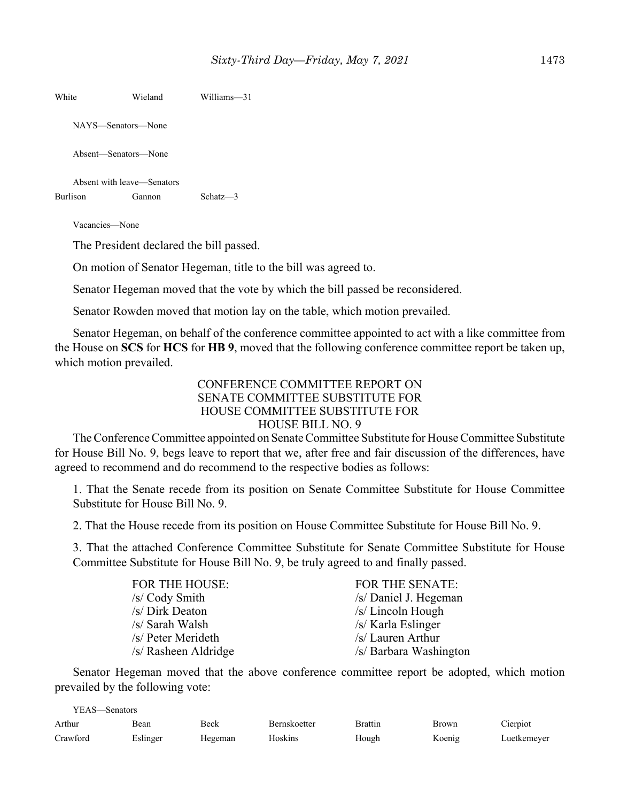| White           | Wieland                    | Williams-31 |
|-----------------|----------------------------|-------------|
|                 | NAYS—Senators—None         |             |
|                 | Absent—Senators—None       |             |
|                 | Absent with leave—Senators |             |
| <b>Burlison</b> | Gannon                     | $Schatz-3$  |
|                 |                            |             |

Vacancies—None

The President declared the bill passed.

On motion of Senator Hegeman, title to the bill was agreed to.

Senator Hegeman moved that the vote by which the bill passed be reconsidered.

Senator Rowden moved that motion lay on the table, which motion prevailed.

Senator Hegeman, on behalf of the conference committee appointed to act with a like committee from the House on **SCS** for **HCS** for **HB 9**, moved that the following conference committee report be taken up, which motion prevailed.

#### CONFERENCE COMMITTEE REPORT ON SENATE COMMITTEE SUBSTITUTE FOR HOUSE COMMITTEE SUBSTITUTE FOR HOUSE BILL NO. 9

The Conference Committee appointed on Senate Committee Substitute for House Committee Substitute for House Bill No. 9, begs leave to report that we, after free and fair discussion of the differences, have agreed to recommend and do recommend to the respective bodies as follows:

1. That the Senate recede from its position on Senate Committee Substitute for House Committee Substitute for House Bill No. 9.

2. That the House recede from its position on House Committee Substitute for House Bill No. 9.

3. That the attached Conference Committee Substitute for Senate Committee Substitute for House Committee Substitute for House Bill No. 9, be truly agreed to and finally passed.

| <b>FOR THE HOUSE:</b> | <b>FOR THE SENATE:</b> |
|-----------------------|------------------------|
| /s/ Cody Smith        | /s/ Daniel J. Hegeman  |
| /s/ Dirk Deaton       | /s/ Lincoln Hough      |
| /s/ Sarah Walsh       | /s/ Karla Eslinger     |
| /s/ Peter Merideth    | /s/ Lauren Arthur      |
| /s/ Rasheen Aldridge  | /s/ Barbara Washington |
|                       |                        |

Senator Hegeman moved that the above conference committee report be adopted, which motion prevailed by the following vote:

| YEAS—Senators |          |         |              |         |        |             |
|---------------|----------|---------|--------------|---------|--------|-------------|
| Arthur        | Bean     | Beck    | Bernskoetter | Brattin | Brown  | Cierpiot    |
| Crawford      | Eslinger | Hegeman | Hoskins      | Hough   | Koenig | Luetkemever |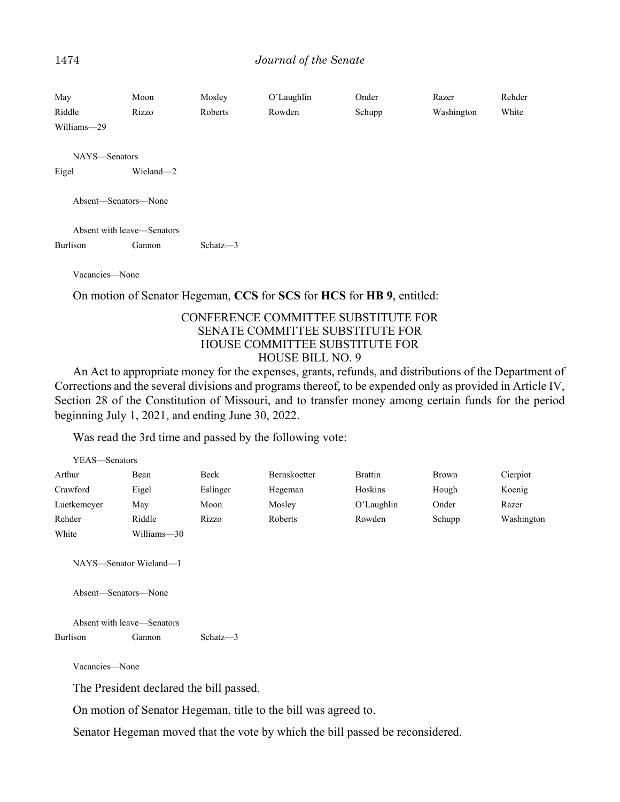#### 1474 *Journal of the Senate*

| May<br>Riddle<br>Williams-29           | Moon<br>Rizzo | Mosley<br>Roberts | O'Laughlin<br>Rowden                                                  | Onder<br>Schupp | Razer<br>Washington | Rehder<br>White |
|----------------------------------------|---------------|-------------------|-----------------------------------------------------------------------|-----------------|---------------------|-----------------|
| NAYS-Senators                          |               |                   |                                                                       |                 |                     |                 |
| Eigel                                  | Wieland-2     |                   |                                                                       |                 |                     |                 |
| Absent—Senators—None                   |               |                   |                                                                       |                 |                     |                 |
| Absent with leave—Senators<br>Burlison | Gannon        | Schatz $-3$       |                                                                       |                 |                     |                 |
| Vacancies-None                         |               |                   | On motion of Senator Hegeman, CCS for SCS for HCS for HB 9, entitled: |                 |                     |                 |

#### CONFERENCE COMMITTEE SUBSTITUTE FOR SENATE COMMITTEE SUBSTITUTE FOR HOUSE COMMITTEE SUBSTITUTE FOR HOUSE BILL NO. 9

An Act to appropriate money for the expenses, grants, refunds, and distributions of the Department of Corrections and the several divisions and programs thereof, to be expended only as provided in Article IV, Section 28 of the Constitution of Missouri, and to transfer money among certain funds for the period beginning July 1, 2021, and ending June 30, 2022.

Was read the 3rd time and passed by the following vote:

| YEAS-Senators                                                                |                |          |              |                |              |            |  |
|------------------------------------------------------------------------------|----------------|----------|--------------|----------------|--------------|------------|--|
| Arthur                                                                       | Bean           | Beck     | Bernskoetter | <b>Brattin</b> | <b>Brown</b> | Cierpiot   |  |
| Crawford                                                                     | Eigel          | Eslinger | Hegeman      | Hoskins        | Hough        | Koenig     |  |
| Luetkemeyer                                                                  | May            | Moon     | Mosley       | O'Laughlin     | Onder        | Razer      |  |
| Rehder                                                                       | Riddle         | Rizzo    | Roberts      | Rowden         | Schupp       | Washington |  |
| White                                                                        | Williams-30    |          |              |                |              |            |  |
| NAYS—Senator Wieland—1<br>Absent-Senators-None<br>Absent with leave—Senators |                |          |              |                |              |            |  |
| <b>Burlison</b>                                                              | Gannon         | Schatz-3 |              |                |              |            |  |
|                                                                              | Vacancies-None |          |              |                |              |            |  |
| The President declared the bill passed.                                      |                |          |              |                |              |            |  |

On motion of Senator Hegeman, title to the bill was agreed to.

Senator Hegeman moved that the vote by which the bill passed be reconsidered.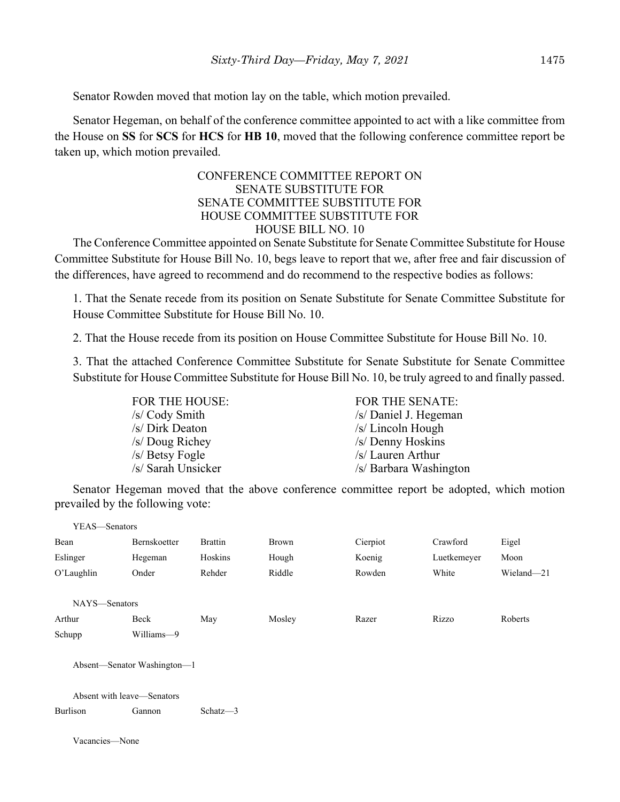Senator Rowden moved that motion lay on the table, which motion prevailed.

Senator Hegeman, on behalf of the conference committee appointed to act with a like committee from the House on **SS** for **SCS** for **HCS** for **HB 10**, moved that the following conference committee report be taken up, which motion prevailed.

## CONFERENCE COMMITTEE REPORT ON SENATE SUBSTITUTE FOR SENATE COMMITTEE SUBSTITUTE FOR HOUSE COMMITTEE SUBSTITUTE FOR HOUSE BILL NO. 10

The Conference Committee appointed on Senate Substitute for Senate Committee Substitute for House Committee Substitute for House Bill No. 10, begs leave to report that we, after free and fair discussion of the differences, have agreed to recommend and do recommend to the respective bodies as follows:

1. That the Senate recede from its position on Senate Substitute for Senate Committee Substitute for House Committee Substitute for House Bill No. 10.

2. That the House recede from its position on House Committee Substitute for House Bill No. 10.

3. That the attached Conference Committee Substitute for Senate Substitute for Senate Committee Substitute for House Committee Substitute for House Bill No. 10, be truly agreed to and finally passed.

| <b>FOR THE HOUSE:</b> | <b>FOR THE SENATE:</b> |
|-----------------------|------------------------|
| /s/ Cody Smith        | /s/ Daniel J. Hegeman  |
| /s/ Dirk Deaton       | /s/ Lincoln Hough      |
| /s/ Doug Richey       | /s/ Denny Hoskins      |
| $/s/$ Betsy Fogle     | /s/ Lauren Arthur      |
| /s/ Sarah Unsicker    | /s/ Barbara Washington |

Senator Hegeman moved that the above conference committee report be adopted, which motion prevailed by the following vote:

| YEAS-Senators |                             |                |              |          |             |            |
|---------------|-----------------------------|----------------|--------------|----------|-------------|------------|
| Bean          | Bernskoetter                | <b>Brattin</b> | <b>Brown</b> | Cierpiot | Crawford    | Eigel      |
| Eslinger      | Hegeman                     | Hoskins        | Hough        | Koenig   | Luetkemeyer | Moon       |
| O'Laughlin    | Onder                       | Rehder         | Riddle       | Rowden   | White       | Wieland-21 |
| NAYS-Senators |                             |                |              |          |             |            |
| Arthur        | Beck                        | May            | Mosley       | Razer    | Rizzo       | Roberts    |
| Schupp        | Williams-9                  |                |              |          |             |            |
|               | Absent-Senator Washington-1 |                |              |          |             |            |
|               | Absent with leave—Senators  |                |              |          |             |            |
| Burlison      | Gannon                      | Schatz $-3$    |              |          |             |            |
|               |                             |                |              |          |             |            |

Vacancies—None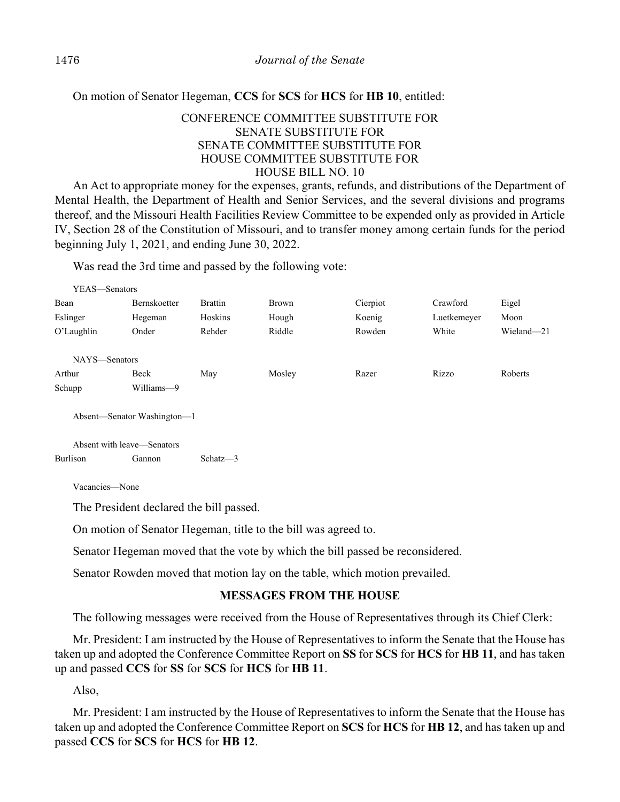On motion of Senator Hegeman, **CCS** for **SCS** for **HCS** for **HB 10**, entitled:

## CONFERENCE COMMITTEE SUBSTITUTE FOR SENATE SUBSTITUTE FOR SENATE COMMITTEE SUBSTITUTE FOR HOUSE COMMITTEE SUBSTITUTE FOR HOUSE BILL NO. 10

An Act to appropriate money for the expenses, grants, refunds, and distributions of the Department of Mental Health, the Department of Health and Senior Services, and the several divisions and programs thereof, and the Missouri Health Facilities Review Committee to be expended only as provided in Article IV, Section 28 of the Constitution of Missouri, and to transfer money among certain funds for the period beginning July 1, 2021, and ending June 30, 2022.

Was read the 3rd time and passed by the following vote:

| YEAS—Senators               |                     |                |              |          |             |            |  |
|-----------------------------|---------------------|----------------|--------------|----------|-------------|------------|--|
| Bean                        | <b>Bernskoetter</b> | <b>Brattin</b> | <b>Brown</b> | Cierpiot | Crawford    | Eigel      |  |
| Eslinger                    | Hegeman             | Hoskins        | Hough        | Koenig   | Luetkemeyer | Moon       |  |
| O'Laughlin                  | Onder               | Rehder         | Riddle       | Rowden   | White       | Wieland-21 |  |
|                             |                     |                |              |          |             |            |  |
| NAYS-Senators               |                     |                |              |          |             |            |  |
| Arthur                      | Beck                | May            | Mosley       | Razer    | Rizzo       | Roberts    |  |
| Schupp                      | Williams-9          |                |              |          |             |            |  |
|                             |                     |                |              |          |             |            |  |
| Absent—Senator Washington—1 |                     |                |              |          |             |            |  |

Absent with leave—Senators Burlison Gannon Schatz—3

Vacancies—None

The President declared the bill passed.

On motion of Senator Hegeman, title to the bill was agreed to.

Senator Hegeman moved that the vote by which the bill passed be reconsidered.

Senator Rowden moved that motion lay on the table, which motion prevailed.

## **MESSAGES FROM THE HOUSE**

The following messages were received from the House of Representatives through its Chief Clerk:

Mr. President: I am instructed by the House of Representatives to inform the Senate that the House has taken up and adopted the Conference Committee Report on **SS** for **SCS** for **HCS** for **HB 11**, and has taken up and passed **CCS** for **SS** for **SCS** for **HCS** for **HB 11**.

Also,

Mr. President: I am instructed by the House of Representatives to inform the Senate that the House has taken up and adopted the Conference Committee Report on **SCS** for **HCS** for **HB 12**, and has taken up and passed **CCS** for **SCS** for **HCS** for **HB 12**.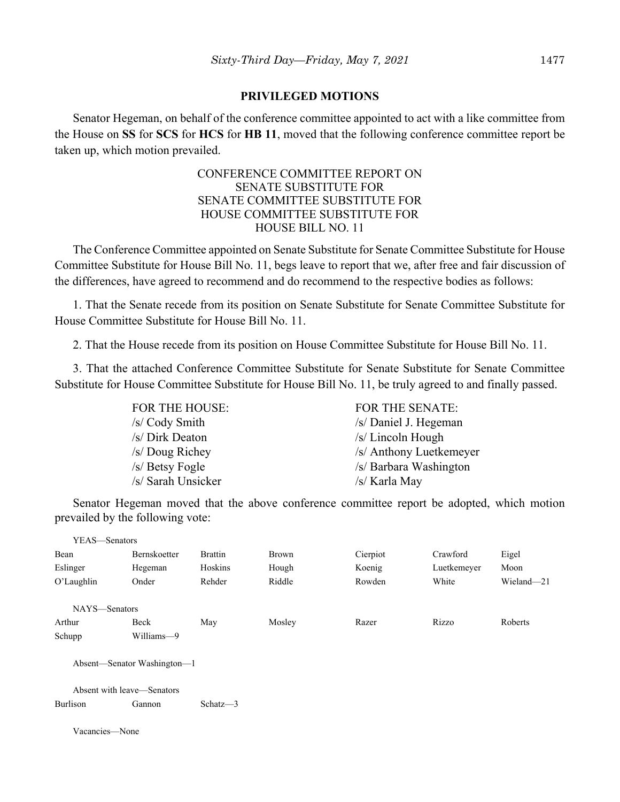#### **PRIVILEGED MOTIONS**

Senator Hegeman, on behalf of the conference committee appointed to act with a like committee from the House on **SS** for **SCS** for **HCS** for **HB 11**, moved that the following conference committee report be taken up, which motion prevailed.

## CONFERENCE COMMITTEE REPORT ON SENATE SUBSTITUTE FOR SENATE COMMITTEE SUBSTITUTE FOR HOUSE COMMITTEE SUBSTITUTE FOR HOUSE BILL NO. 11

The Conference Committee appointed on Senate Substitute for Senate Committee Substitute for House Committee Substitute for House Bill No. 11, begs leave to report that we, after free and fair discussion of the differences, have agreed to recommend and do recommend to the respective bodies as follows:

1. That the Senate recede from its position on Senate Substitute for Senate Committee Substitute for House Committee Substitute for House Bill No. 11.

2. That the House recede from its position on House Committee Substitute for House Bill No. 11.

3. That the attached Conference Committee Substitute for Senate Substitute for Senate Committee Substitute for House Committee Substitute for House Bill No. 11, be truly agreed to and finally passed.

| FOR THE HOUSE:     | <b>FOR THE SENATE:</b>  |
|--------------------|-------------------------|
| /s/ Cody Smith     | /s/ Daniel J. Hegeman   |
| /s/ Dirk Deaton    | $/s$ / Lincoln Hough    |
| /s/ Doug Richey    | /s/ Anthony Luetkemeyer |
| /s/ Betsy Fogle    | /s/ Barbara Washington  |
| /s/ Sarah Unsicker | /s/ Karla May           |

Senator Hegeman moved that the above conference committee report be adopted, which motion prevailed by the following vote:

| YEAS-Senators              |                             |                |              |          |             |            |
|----------------------------|-----------------------------|----------------|--------------|----------|-------------|------------|
| Bean                       | <b>Bernskoetter</b>         | <b>Brattin</b> | <b>Brown</b> | Cierpiot | Crawford    | Eigel      |
| Eslinger                   | Hegeman                     | Hoskins        | Hough        | Koenig   | Luetkemeyer | Moon       |
| O'Laughlin                 | Onder                       | Rehder         | Riddle       | Rowden   | White       | Wieland-21 |
| NAYS-Senators              |                             |                |              |          |             |            |
| Arthur                     | Beck                        | May            | Mosley       | Razer    | Rizzo       | Roberts    |
| Schupp                     | Williams-9                  |                |              |          |             |            |
|                            | Absent—Senator Washington—1 |                |              |          |             |            |
| Absent with leave—Senators |                             |                |              |          |             |            |
| Burlison                   | Gannon                      | Schatz $-3$    |              |          |             |            |
| Vacancies-None             |                             |                |              |          |             |            |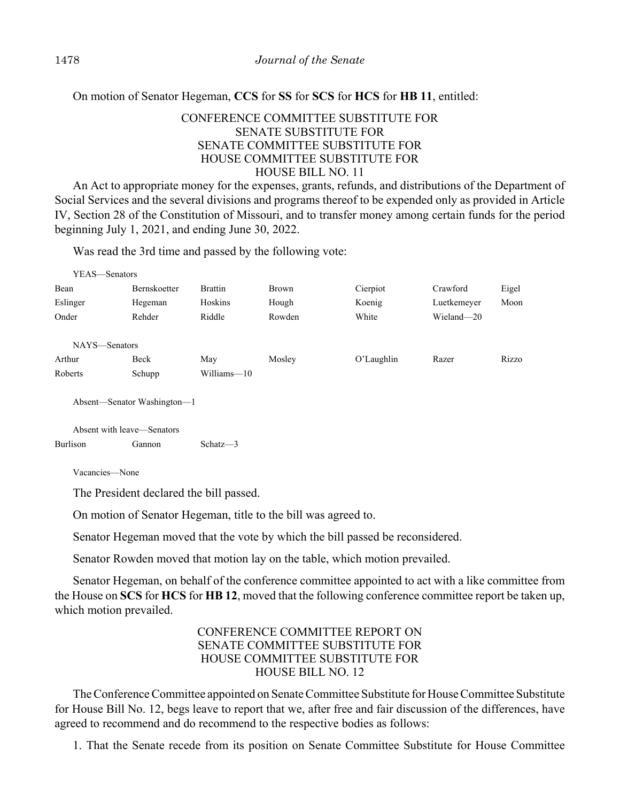On motion of Senator Hegeman, **CCS** for **SS** for **SCS** for **HCS** for **HB 11**, entitled:

## CONFERENCE COMMITTEE SUBSTITUTE FOR SENATE SUBSTITUTE FOR SENATE COMMITTEE SUBSTITUTE FOR HOUSE COMMITTEE SUBSTITUTE FOR HOUSE BILL NO. 11

An Act to appropriate money for the expenses, grants, refunds, and distributions of the Department of Social Services and the several divisions and programs thereof to be expended only as provided in Article IV, Section 28 of the Constitution of Missouri, and to transfer money among certain funds for the period beginning July 1, 2021, and ending June 30, 2022.

Was read the 3rd time and passed by the following vote:

| YEAS—Senators              |                             |                |              |            |             |       |
|----------------------------|-----------------------------|----------------|--------------|------------|-------------|-------|
| Bean                       | <b>Bernskoetter</b>         | <b>Brattin</b> | <b>Brown</b> | Cierpiot   | Crawford    | Eigel |
| Eslinger                   | Hegeman                     | Hoskins        | Hough        | Koenig     | Luetkemeyer | Moon  |
| Onder                      | Rehder                      | Riddle         | Rowden       | White      | Wieland-20  |       |
|                            |                             |                |              |            |             |       |
| NAYS—Senators              |                             |                |              |            |             |       |
| Arthur                     | Beck                        | May            | Mosley       | O'Laughlin | Razer       | Rizzo |
| Roberts                    | Schupp                      | Williams-10    |              |            |             |       |
|                            |                             |                |              |            |             |       |
|                            | Absent—Senator Washington—1 |                |              |            |             |       |
|                            |                             |                |              |            |             |       |
| Absent with leave—Senators |                             |                |              |            |             |       |
| <b>Burlison</b>            | Gannon                      | Schatz $-3$    |              |            |             |       |

Vacancies—None

The President declared the bill passed.

On motion of Senator Hegeman, title to the bill was agreed to.

Senator Hegeman moved that the vote by which the bill passed be reconsidered.

Senator Rowden moved that motion lay on the table, which motion prevailed.

Senator Hegeman, on behalf of the conference committee appointed to act with a like committee from the House on **SCS** for **HCS** for **HB 12**, moved that the following conference committee report be taken up, which motion prevailed.

## CONFERENCE COMMITTEE REPORT ON SENATE COMMITTEE SUBSTITUTE FOR HOUSE COMMITTEE SUBSTITUTE FOR HOUSE BILL NO. 12

The Conference Committee appointed on Senate Committee Substitute for House Committee Substitute for House Bill No. 12, begs leave to report that we, after free and fair discussion of the differences, have agreed to recommend and do recommend to the respective bodies as follows:

1. That the Senate recede from its position on Senate Committee Substitute for House Committee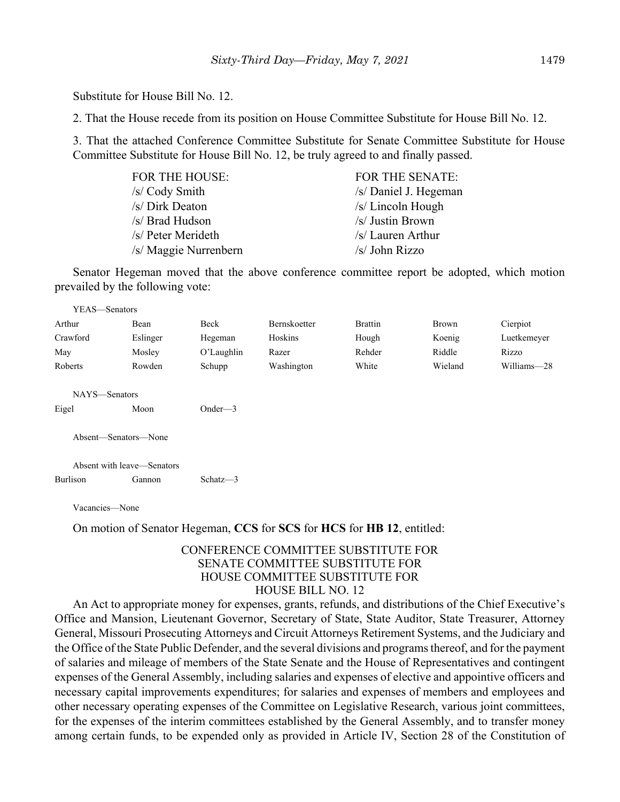Substitute for House Bill No. 12.

2. That the House recede from its position on House Committee Substitute for House Bill No. 12.

3. That the attached Conference Committee Substitute for Senate Committee Substitute for House Committee Substitute for House Bill No. 12, be truly agreed to and finally passed.

| <b>FOR THE HOUSE:</b> | <b>FOR THE SENATE:</b> |
|-----------------------|------------------------|
| /s/ Cody Smith        | /s/ Daniel J. Hegeman  |
| /s/ Dirk Deaton       | $/s/Lin$ coln Hough    |
| /s/ Brad Hudson       | /s/ Justin Brown       |
| /s/ Peter Merideth    | /s/ Lauren Arthur      |
| /s/ Maggie Nurrenbern | $/s/$ John Rizzo       |

Senator Hegeman moved that the above conference committee report be adopted, which motion prevailed by the following vote:

| YEAS-Senators          |                            |            |                     |                |              |             |
|------------------------|----------------------------|------------|---------------------|----------------|--------------|-------------|
| Arthur                 | Bean                       | Beck       | <b>Bernskoetter</b> | <b>Brattin</b> | <b>Brown</b> | Cierpiot    |
| Crawford               | Eslinger                   | Hegeman    | Hoskins             | Hough          | Koenig       | Luetkemeyer |
| May                    | Mosley                     | O'Laughlin | Razer               | Rehder         | Riddle       | Rizzo       |
| Roberts                | Rowden                     | Schupp     | Washington          | White          | Wieland      | Williams-28 |
| NAYS-Senators<br>Eigel | Moon                       | Onder— $3$ |                     |                |              |             |
| Absent—Senators—None   | Absent with leave—Senators |            |                     |                |              |             |
| Burlison               | Gannon                     | Schatz-3   |                     |                |              |             |
|                        |                            |            |                     |                |              |             |

Vacancies—None

On motion of Senator Hegeman, **CCS** for **SCS** for **HCS** for **HB 12**, entitled:

#### CONFERENCE COMMITTEE SUBSTITUTE FOR SENATE COMMITTEE SUBSTITUTE FOR HOUSE COMMITTEE SUBSTITUTE FOR HOUSE BILL NO. 12

An Act to appropriate money for expenses, grants, refunds, and distributions of the Chief Executive's Office and Mansion, Lieutenant Governor, Secretary of State, State Auditor, State Treasurer, Attorney General, Missouri Prosecuting Attorneys and Circuit Attorneys Retirement Systems, and the Judiciary and the Office of the State Public Defender, and the several divisions and programs thereof, and for the payment of salaries and mileage of members of the State Senate and the House of Representatives and contingent expenses of the General Assembly, including salaries and expenses of elective and appointive officers and necessary capital improvements expenditures; for salaries and expenses of members and employees and other necessary operating expenses of the Committee on Legislative Research, various joint committees, for the expenses of the interim committees established by the General Assembly, and to transfer money among certain funds, to be expended only as provided in Article IV, Section 28 of the Constitution of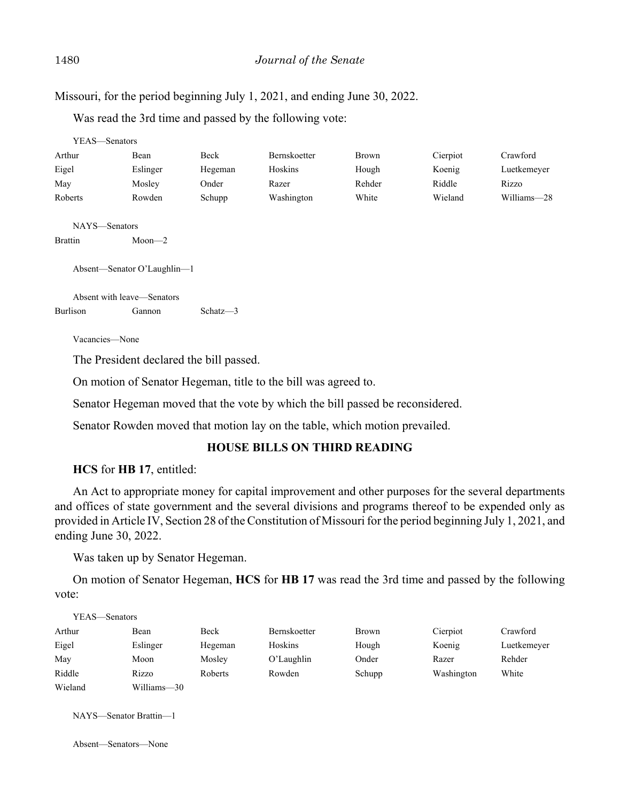Missouri, for the period beginning July 1, 2021, and ending June 30, 2022.

Was read the 3rd time and passed by the following vote:

| YEAS—Senators  |                             |          |                     |        |          |             |
|----------------|-----------------------------|----------|---------------------|--------|----------|-------------|
| Arthur         | Bean                        | Beck     | <b>Bernskoetter</b> | Brown  | Cierpiot | Crawford    |
| Eigel          | Eslinger                    | Hegeman  | Hoskins             | Hough  | Koenig   | Luetkemeyer |
| May            | Mosley                      | Onder    | Razer               | Rehder | Riddle   | Rizzo       |
| Roberts        | Rowden                      | Schupp   | Washington          | White  | Wieland  | Williams-28 |
| NAYS-Senators  |                             |          |                     |        |          |             |
| <b>Brattin</b> | $Moon - 2$                  |          |                     |        |          |             |
|                | Absent—Senator O'Laughlin—1 |          |                     |        |          |             |
|                | Absent with leave-Senators  |          |                     |        |          |             |
| Burlison       | Gannon                      | Schatz-3 |                     |        |          |             |

Vacancies—None

The President declared the bill passed.

On motion of Senator Hegeman, title to the bill was agreed to.

Senator Hegeman moved that the vote by which the bill passed be reconsidered.

Senator Rowden moved that motion lay on the table, which motion prevailed.

## **HOUSE BILLS ON THIRD READING**

## **HCS** for **HB 17**, entitled:

An Act to appropriate money for capital improvement and other purposes for the several departments and offices of state government and the several divisions and programs thereof to be expended only as provided in Article IV, Section 28 of the Constitution of Missouri for the period beginning July 1, 2021, and ending June 30, 2022.

Was taken up by Senator Hegeman.

On motion of Senator Hegeman, **HCS** for **HB 17** was read the 3rd time and passed by the following vote:

| YEAS—Senators |             |         |                     |              |            |             |
|---------------|-------------|---------|---------------------|--------------|------------|-------------|
| Arthur        | Bean        | Beck    | <b>Bernskoetter</b> | <b>Brown</b> | Cierpiot   | Crawford    |
| Eigel         | Eslinger    | Hegeman | Hoskins             | Hough        | Koenig     | Luetkemeyer |
| May           | Moon        | Mosley  | O'Laughlin          | Onder        | Razer      | Rehder      |
| Riddle        | Rizzo       | Roberts | Rowden              | Schupp       | Washington | White       |
| Wieland       | Williams-30 |         |                     |              |            |             |

NAYS—Senator Brattin—1

Absent—Senators—None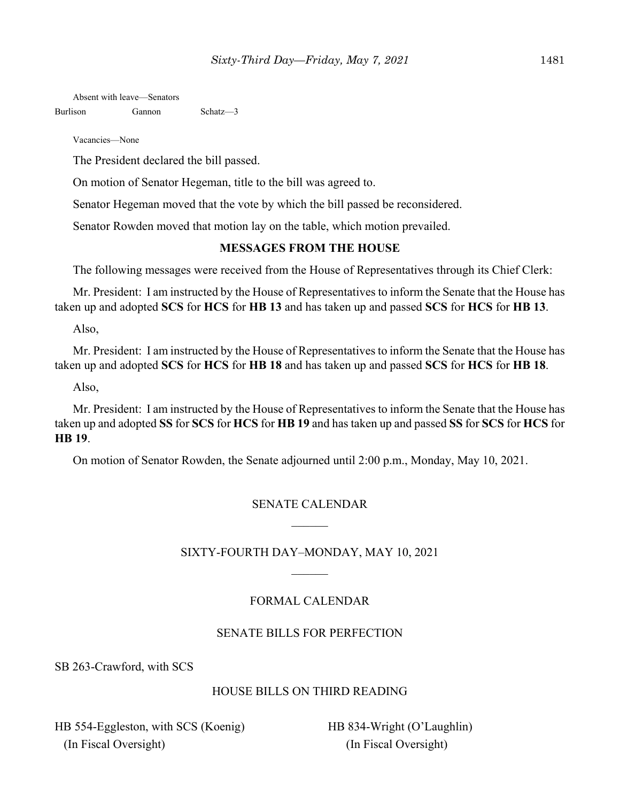Absent with leave—Senators

Burlison Gannon Schatz—3

Vacancies—None

The President declared the bill passed.

On motion of Senator Hegeman, title to the bill was agreed to.

Senator Hegeman moved that the vote by which the bill passed be reconsidered.

Senator Rowden moved that motion lay on the table, which motion prevailed.

#### **MESSAGES FROM THE HOUSE**

The following messages were received from the House of Representatives through its Chief Clerk:

Mr. President: I am instructed by the House of Representatives to inform the Senate that the House has taken up and adopted **SCS** for **HCS** for **HB 13** and has taken up and passed **SCS** for **HCS** for **HB 13**.

Also,

Mr. President: I am instructed by the House of Representatives to inform the Senate that the House has taken up and adopted **SCS** for **HCS** for **HB 18** and has taken up and passed **SCS** for **HCS** for **HB 18**.

Also,

Mr. President: I am instructed by the House of Representatives to inform the Senate that the House has taken up and adopted **SS** for **SCS** for **HCS** for **HB 19** and has taken up and passed **SS** for **SCS** for **HCS** for **HB 19**.

On motion of Senator Rowden, the Senate adjourned until 2:00 p.m., Monday, May 10, 2021.

## SENATE CALENDAR

## SIXTY-FOURTH DAY–MONDAY, MAY 10, 2021

## FORMAL CALENDAR

## SENATE BILLS FOR PERFECTION

SB 263-Crawford, with SCS

# HOUSE BILLS ON THIRD READING

HB 554-Eggleston, with SCS (Koenig) (In Fiscal Oversight)

HB 834-Wright (O'Laughlin) (In Fiscal Oversight)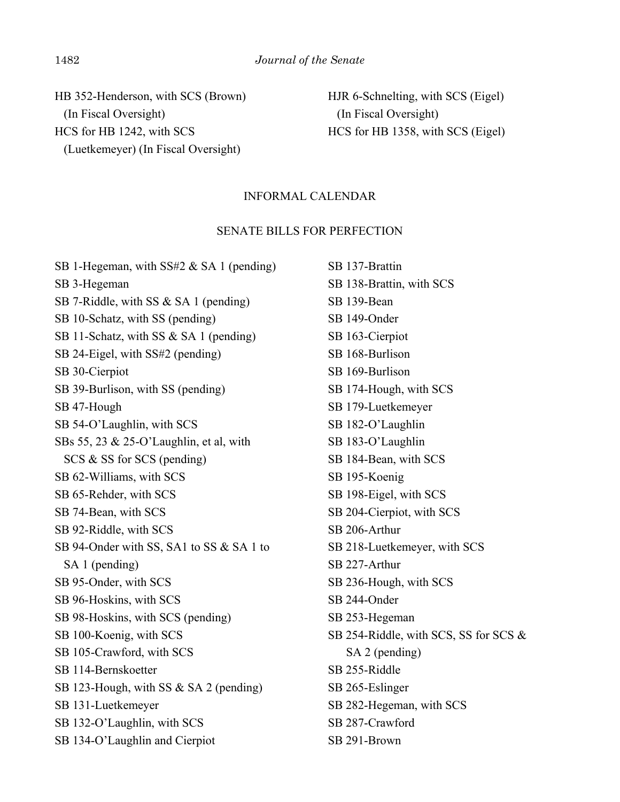HB 352-Henderson, with SCS (Brown) (In Fiscal Oversight) HCS for HB 1242, with SCS (Luetkemeyer) (In Fiscal Oversight)

HJR 6-Schnelting, with SCS (Eigel) (In Fiscal Oversight) HCS for HB 1358, with SCS (Eigel)

#### INFORMAL CALENDAR

#### SENATE BILLS FOR PERFECTION

SB 1-Hegeman, with SS#2 & SA 1 (pending) SB 3-Hegeman SB 7-Riddle, with SS & SA 1 (pending) SB 10-Schatz, with SS (pending) SB 11-Schatz, with SS & SA 1 (pending) SB 24-Eigel, with SS#2 (pending) SB 30-Cierpiot SB 39-Burlison, with SS (pending) SB 47-Hough SB 54-O'Laughlin, with SCS SBs 55, 23 & 25-O'Laughlin, et al, with SCS & SS for SCS (pending) SB 62-Williams, with SCS SB 65-Rehder, with SCS SB 74-Bean, with SCS SB 92-Riddle, with SCS SB 94-Onder with SS, SA1 to SS & SA 1 to SA 1 (pending) SB 95-Onder, with SCS SB 96-Hoskins, with SCS SB 98-Hoskins, with SCS (pending) SB 100-Koenig, with SCS SB 105-Crawford, with SCS SB 114-Bernskoetter SB 123-Hough, with SS & SA 2 (pending) SB 131-Luetkemeyer SB 132-O'Laughlin, with SCS SB 134-O'Laughlin and Cierpiot

SB 137-Brattin SB 138-Brattin, with SCS SB 139-Bean SB 149-Onder SB 163-Cierpiot SB 168-Burlison SB 169-Burlison SB 174-Hough, with SCS SB 179-Luetkemeyer SB 182-O'Laughlin SB 183-O'Laughlin SB 184-Bean, with SCS SB 195-Koenig SB 198-Eigel, with SCS SB 204-Cierpiot, with SCS SB 206-Arthur SB 218-Luetkemeyer, with SCS SB 227-Arthur SB 236-Hough, with SCS SB 244-Onder SB 253-Hegeman SB 254-Riddle, with SCS, SS for SCS & SA 2 (pending) SB 255-Riddle SB 265-Eslinger SB 282-Hegeman, with SCS SB 287-Crawford SB 291-Brown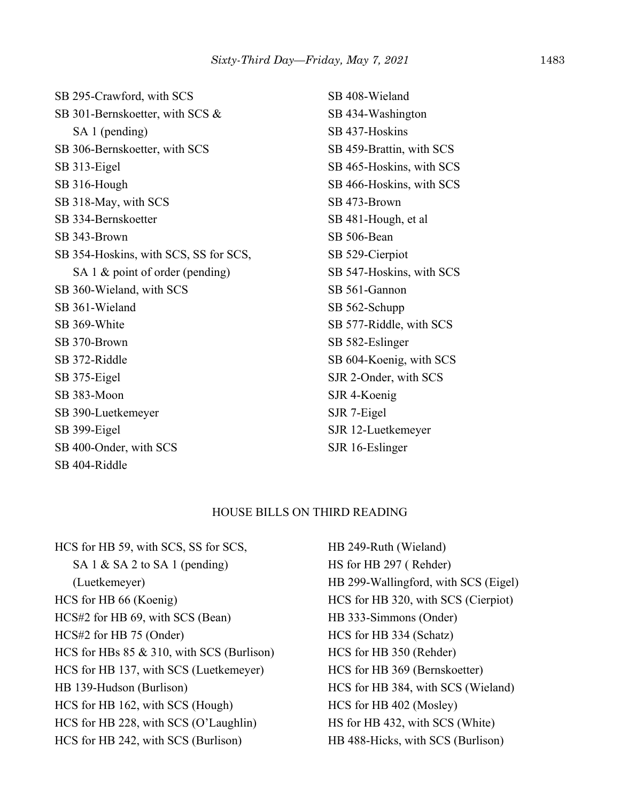SB 295-Crawford, with SCS SB 301-Bernskoetter, with SCS & SA 1 (pending) SB 306-Bernskoetter, with SCS SB 313-Eigel SB 316-Hough SB 318-May, with SCS SB 334-Bernskoetter SB 343-Brown SB 354-Hoskins, with SCS, SS for SCS, SA 1 & point of order (pending) SB 360-Wieland, with SCS SB 361-Wieland SB 369-White SB 370-Brown SB 372-Riddle SB 375-Eigel SB 383-Moon SB 390-Luetkemeyer SB 399-Eigel SB 400-Onder, with SCS SB 404-Riddle

SB 408-Wieland SB 434-Washington SB 437-Hoskins SB 459-Brattin, with SCS SB 465-Hoskins, with SCS SB 466-Hoskins, with SCS SB 473-Brown SB 481-Hough, et al SB 506-Bean SB 529-Cierpiot SB 547-Hoskins, with SCS SB 561-Gannon SB 562-Schupp SB 577-Riddle, with SCS SB 582-Eslinger SB 604-Koenig, with SCS SJR 2-Onder, with SCS SJR 4-Koenig SJR 7-Eigel SJR 12-Luetkemeyer SJR 16-Eslinger

#### HOUSE BILLS ON THIRD READING

HCS for HB 59, with SCS, SS for SCS, SA 1 & SA 2 to SA 1 (pending) (Luetkemeyer) HCS for HB 66 (Koenig) HCS#2 for HB 69, with SCS (Bean) HCS#2 for HB 75 (Onder) HCS for HBs 85 & 310, with SCS (Burlison) HCS for HB 137, with SCS (Luetkemeyer) HB 139-Hudson (Burlison) HCS for HB 162, with SCS (Hough) HCS for HB 228, with SCS (O'Laughlin) HCS for HB 242, with SCS (Burlison)

HB 249-Ruth (Wieland) HS for HB 297 ( Rehder) HB 299-Wallingford, with SCS (Eigel) HCS for HB 320, with SCS (Cierpiot) HB 333-Simmons (Onder) HCS for HB 334 (Schatz) HCS for HB 350 (Rehder) HCS for HB 369 (Bernskoetter) HCS for HB 384, with SCS (Wieland) HCS for HB 402 (Mosley) HS for HB 432, with SCS (White) HB 488-Hicks, with SCS (Burlison)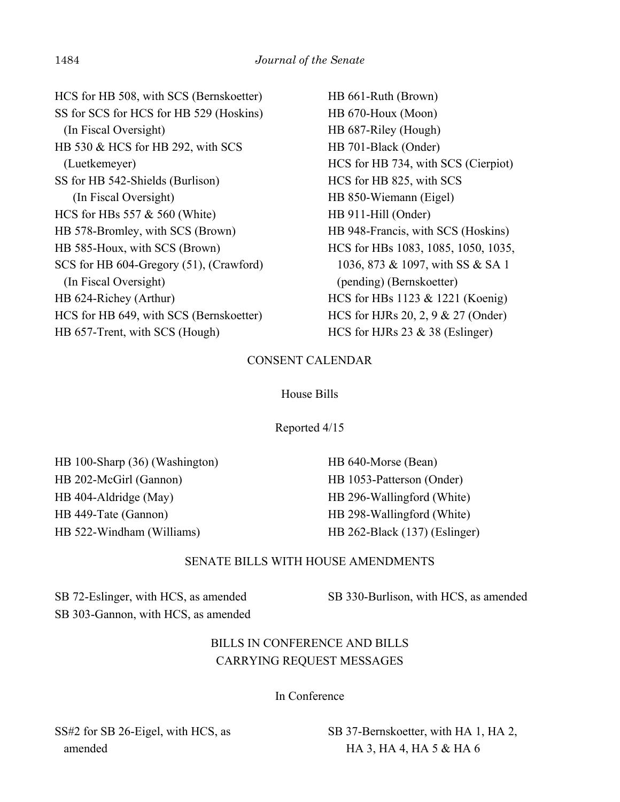HCS for HB 508, with SCS (Bernskoetter) SS for SCS for HCS for HB 529 (Hoskins) (In Fiscal Oversight) HB 530 & HCS for HB 292, with SCS (Luetkemeyer) SS for HB 542-Shields (Burlison) (In Fiscal Oversight) HCS for HBs 557 & 560 (White) HB 578-Bromley, with SCS (Brown) HB 585-Houx, with SCS (Brown) SCS for HB 604-Gregory (51), (Crawford) (In Fiscal Oversight) HB 624-Richey (Arthur) HCS for HB 649, with SCS (Bernskoetter) HB 657-Trent, with SCS (Hough)

HB 661-Ruth (Brown) HB 670-Houx (Moon) HB 687-Riley (Hough) HB 701-Black (Onder) HCS for HB 734, with SCS (Cierpiot) HCS for HB 825, with SCS HB 850-Wiemann (Eigel) HB 911-Hill (Onder) HB 948-Francis, with SCS (Hoskins) HCS for HBs 1083, 1085, 1050, 1035, 1036, 873 & 1097, with SS & SA 1 (pending) (Bernskoetter) HCS for HBs 1123 & 1221 (Koenig) HCS for HJRs 20, 2, 9 & 27 (Onder) HCS for HJRs 23 & 38 (Eslinger)

## CONSENT CALENDAR

## House Bills

Reported 4/15

HB 100-Sharp (36) (Washington) HB 202-McGirl (Gannon) HB 404-Aldridge (May) HB 449-Tate (Gannon) HB 522-Windham (Williams)

HB 640-Morse (Bean) HB 1053-Patterson (Onder) HB 296-Wallingford (White) HB 298-Wallingford (White) HB 262-Black (137) (Eslinger)

## SENATE BILLS WITH HOUSE AMENDMENTS

SB 72-Eslinger, with HCS, as amended SB 303-Gannon, with HCS, as amended SB 330-Burlison, with HCS, as amended

# BILLS IN CONFERENCE AND BILLS CARRYING REQUEST MESSAGES

In Conference

SS#2 for SB 26-Eigel, with HCS, as amended

SB 37-Bernskoetter, with HA 1, HA 2, HA 3, HA 4, HA 5 & HA 6